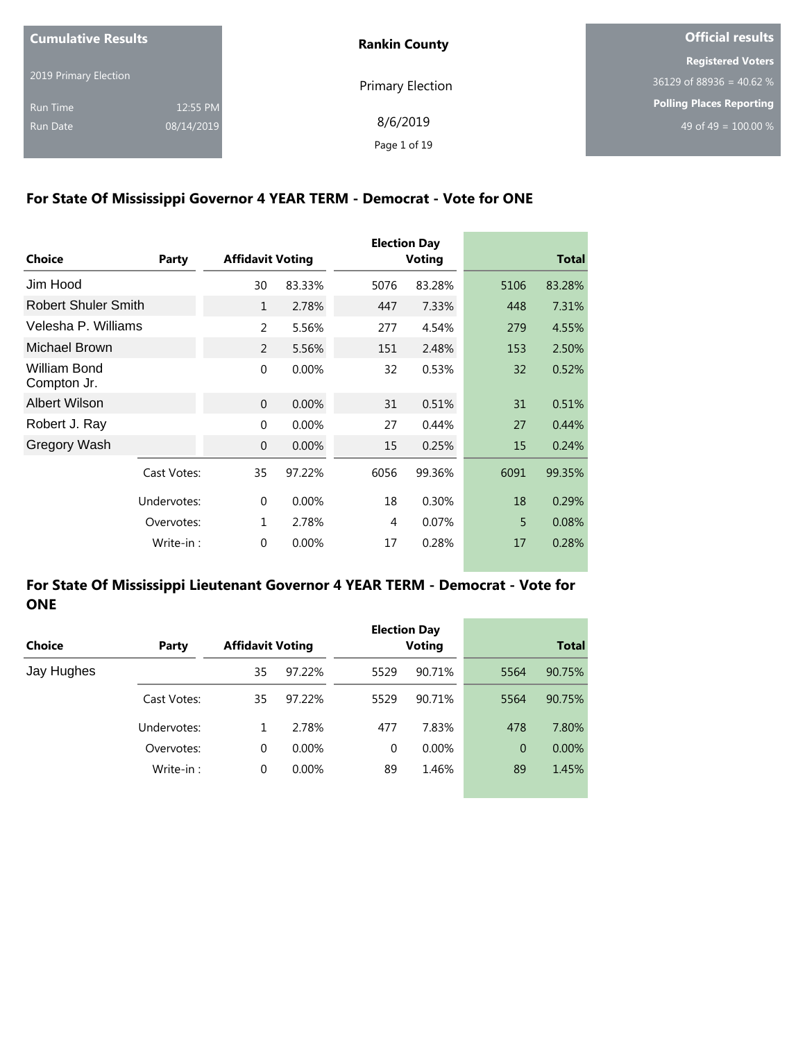| <b>Cumulative Results</b> |            | <b>Rankin County</b>    | <b>Official results</b>         |  |
|---------------------------|------------|-------------------------|---------------------------------|--|
|                           |            |                         | <b>Registered Voters</b>        |  |
| 2019 Primary Election     |            | <b>Primary Election</b> | $36129$ of 88936 = 40.62 %      |  |
| Run Time                  | 12:55 PM   |                         | <b>Polling Places Reporting</b> |  |
| Run Date                  | 08/14/2019 | 8/6/2019                | 49 of 49 = $100.00\%$           |  |
|                           |            | Page 1 of 19            |                                 |  |

#### **For State Of Mississippi Governor 4 YEAR TERM - Democrat - Vote for ONE**

| <b>Choice</b>               | Party      | <b>Affidavit Voting</b> |          |      | <b>Election Day</b><br><b>Voting</b> |      | <b>Total</b> |
|-----------------------------|------------|-------------------------|----------|------|--------------------------------------|------|--------------|
| Jim Hood                    |            | 30                      | 83.33%   | 5076 | 83.28%                               | 5106 | 83.28%       |
| <b>Robert Shuler Smith</b>  |            | $\mathbf{1}$            | 2.78%    | 447  | 7.33%                                | 448  | 7.31%        |
| Velesha P. Williams         |            | $\overline{2}$          | 5.56%    | 277  | 4.54%                                | 279  | 4.55%        |
| Michael Brown               |            | 2                       | 5.56%    | 151  | 2.48%                                | 153  | 2.50%        |
| William Bond<br>Compton Jr. |            | $\mathbf{0}$            | 0.00%    | 32   | 0.53%                                | 32   | 0.52%        |
| <b>Albert Wilson</b>        |            | $\mathbf{0}$            | 0.00%    | 31   | 0.51%                                | 31   | 0.51%        |
| Robert J. Ray               |            | $\Omega$                | 0.00%    | 27   | 0.44%                                | 27   | 0.44%        |
| Gregory Wash                |            | $\mathbf{0}$            | 0.00%    | 15   | 0.25%                                | 15   | 0.24%        |
| Cast Votes:                 |            | 35                      | 97.22%   | 6056 | 99.36%                               | 6091 | 99.35%       |
| Undervotes:                 |            | 0                       | $0.00\%$ | 18   | 0.30%                                | 18   | 0.29%        |
|                             | Overvotes: | 1                       | 2.78%    | 4    | 0.07%                                | 5    | 0.08%        |
|                             | Write-in:  | $\mathbf{0}$            | 0.00%    | 17   | 0.28%                                | 17   | 0.28%        |

#### **For State Of Mississippi Lieutenant Governor 4 YEAR TERM - Democrat - Vote for ONE**

| <b>Choice</b> | Party       | <b>Affidavit Voting</b> |          |          | <b>Election Day</b><br><b>Voting</b> |                | <b>Total</b> |
|---------------|-------------|-------------------------|----------|----------|--------------------------------------|----------------|--------------|
| Jay Hughes    |             | 35                      | 97.22%   | 5529     | 90.71%                               | 5564           | 90.75%       |
|               | Cast Votes: | 35                      | 97.22%   | 5529     | 90.71%                               | 5564           | 90.75%       |
|               | Undervotes: |                         | 2.78%    | 477      | 7.83%                                | 478            | 7.80%        |
|               | Overvotes:  | $\Omega$                | $0.00\%$ | $\Omega$ | $0.00\%$                             | $\overline{0}$ | $0.00\%$     |
|               | Write-in:   | $\Omega$                | 0.00%    | 89       | 1.46%                                | 89             | 1.45%        |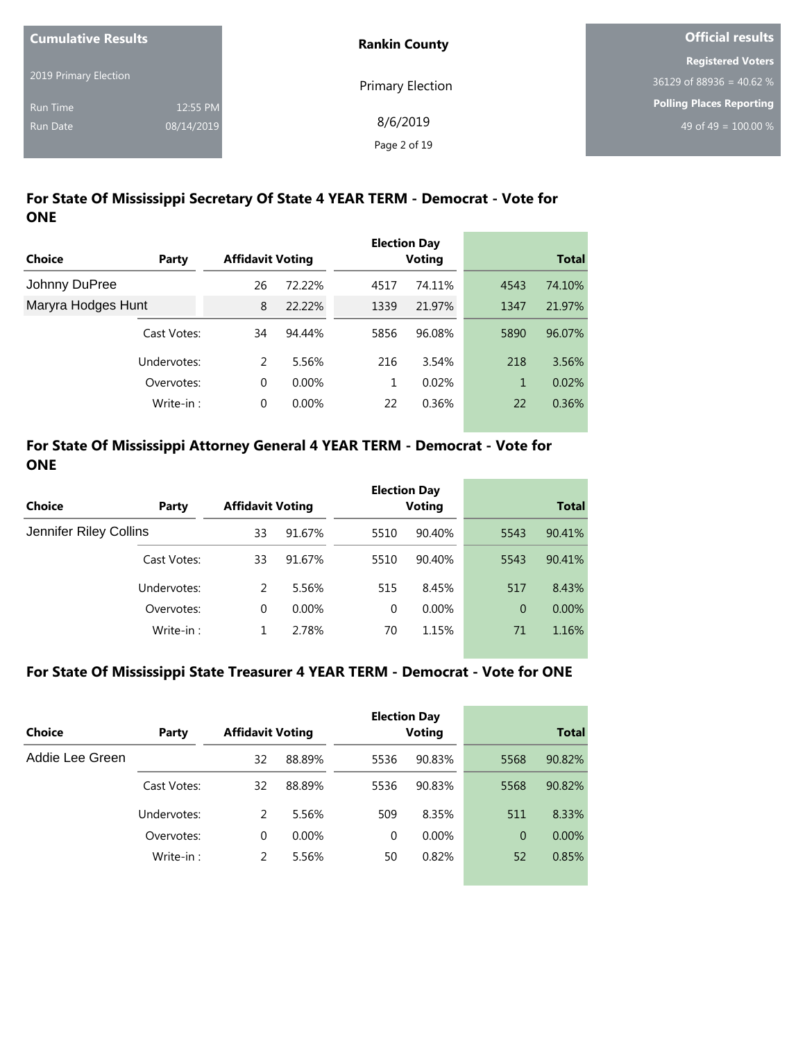| <b>Cumulative Results</b> |            | <b>Rankin County</b>    | Official results           |
|---------------------------|------------|-------------------------|----------------------------|
|                           |            |                         | <b>Registered Voters</b>   |
| 2019 Primary Election     |            | <b>Primary Election</b> | $36129$ of 88936 = 40.62 % |
| <b>Run Time</b>           | 12:55 PM   |                         | Polling Places Reporting   |
| Run Date                  | 08/14/2019 | 8/6/2019                | 49 of 49 = $100.00\%$      |
|                           |            | Page 2 of 19            |                            |

## **For State Of Mississippi Secretary Of State 4 YEAR TERM - Democrat - Vote for ONE**

|                    |             |                         |          |      | <b>Election Day</b> |      |              |
|--------------------|-------------|-------------------------|----------|------|---------------------|------|--------------|
| Choice             | Party       | <b>Affidavit Voting</b> |          |      | <b>Voting</b>       |      | <b>Total</b> |
| Johnny DuPree      |             | 26                      | 72.22%   | 4517 | 74.11%              | 4543 | 74.10%       |
| Maryra Hodges Hunt |             | 8                       | 22.22%   | 1339 | 21.97%              | 1347 | 21.97%       |
|                    | Cast Votes: | 34                      | 94.44%   | 5856 | 96.08%              | 5890 | 96.07%       |
|                    | Undervotes: | 2                       | 5.56%    | 216  | 3.54%               | 218  | 3.56%        |
|                    | Overvotes:  | 0                       | $0.00\%$ |      | 0.02%               | 1    | 0.02%        |
|                    | Write-in:   | 0                       | 0.00%    | 22   | 0.36%               | 22   | 0.36%        |

### **For State Of Mississippi Attorney General 4 YEAR TERM - Democrat - Vote for ONE**

|                        |             |                         |          |          | <b>Election Day</b> |                |              |
|------------------------|-------------|-------------------------|----------|----------|---------------------|----------------|--------------|
| <b>Choice</b>          | Party       | <b>Affidavit Voting</b> |          |          | <b>Voting</b>       |                | <b>Total</b> |
| Jennifer Riley Collins |             | 33                      | 91.67%   | 5510     | 90.40%              | 5543           | 90.41%       |
|                        | Cast Votes: | 33                      | 91.67%   | 5510     | 90.40%              | 5543           | 90.41%       |
|                        | Undervotes: | 2                       | 5.56%    | 515      | 8.45%               | 517            | 8.43%        |
|                        | Overvotes:  | 0                       | $0.00\%$ | $\Omega$ | $0.00\%$            | $\overline{0}$ | 0.00%        |
|                        | Write-in:   |                         | 2.78%    | 70       | 1.15%               | 71             | 1.16%        |

#### **For State Of Mississippi State Treasurer 4 YEAR TERM - Democrat - Vote for ONE**

| Choice          | Party       | <b>Affidavit Voting</b> |          |          | <b>Election Day</b><br><b>Voting</b> |          | <b>Total</b> |
|-----------------|-------------|-------------------------|----------|----------|--------------------------------------|----------|--------------|
| Addie Lee Green |             | 32                      | 88.89%   | 5536     | 90.83%                               | 5568     | 90.82%       |
|                 | Cast Votes: | 32                      | 88.89%   | 5536     | 90.83%                               | 5568     | 90.82%       |
|                 | Undervotes: | 2                       | 5.56%    | 509      | 8.35%                                | 511      | 8.33%        |
|                 | Overvotes:  | $\Omega$                | $0.00\%$ | $\Omega$ | $0.00\%$                             | $\Omega$ | $0.00\%$     |
|                 | Write-in:   | 2                       | 5.56%    | 50       | 0.82%                                | 52       | 0.85%        |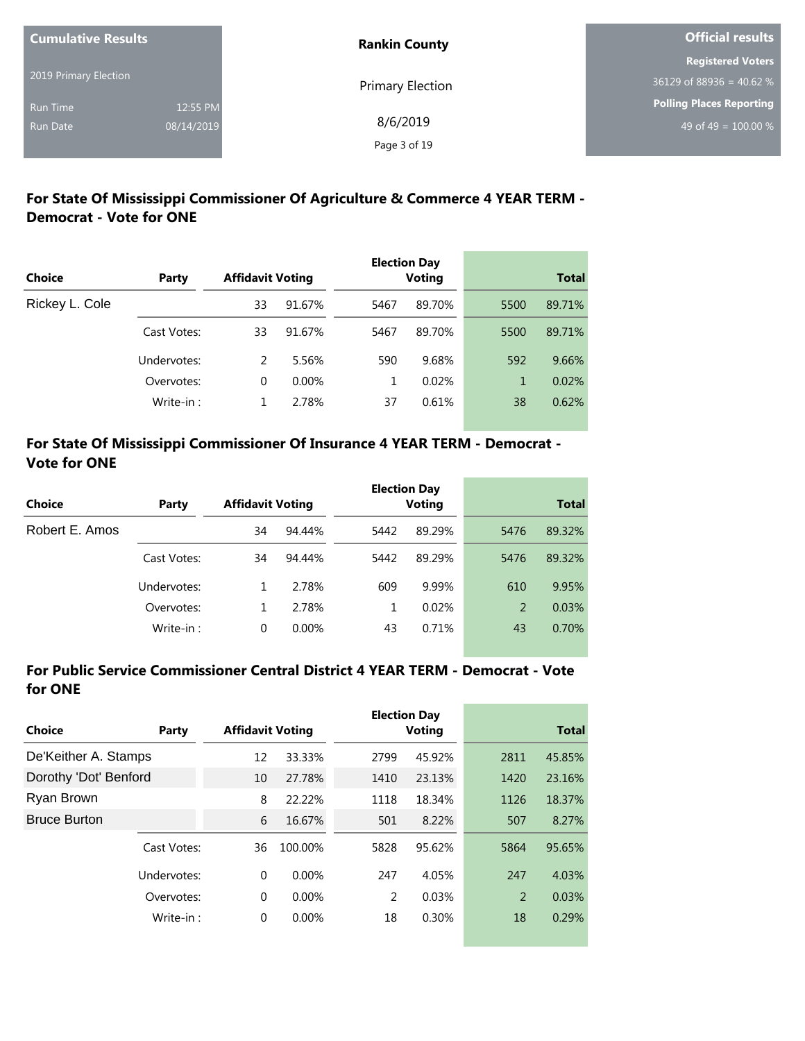| <b>Cumulative Results</b> |            | <b>Rankin County</b> | Official results                 |
|---------------------------|------------|----------------------|----------------------------------|
|                           |            |                      | <b>Registered Voters</b>         |
| 2019 Primary Election     |            | Primary Election     | $36129$ of 88936 = 40.62 %       |
| <b>Run Time</b>           | 12:55 PM   |                      | <b>Polling Places Reporting</b>  |
| <b>Run Date</b>           | 08/14/2019 | 8/6/2019             | 49 of 49 = $\overline{100.00\%}$ |
|                           |            | Page 3 of 19         |                                  |

## **For State Of Mississippi Commissioner Of Agriculture & Commerce 4 YEAR TERM - Democrat - Vote for ONE**

| Choice         | Party       | <b>Affidavit Voting</b> |          |      | <b>Election Day</b><br><b>Voting</b> |      | <b>Total</b> |
|----------------|-------------|-------------------------|----------|------|--------------------------------------|------|--------------|
| Rickey L. Cole |             | 33                      | 91.67%   | 5467 | 89.70%                               | 5500 | 89.71%       |
|                | Cast Votes: | 33                      | 91.67%   | 5467 | 89.70%                               | 5500 | 89.71%       |
|                | Undervotes: | 2                       | 5.56%    | 590  | 9.68%                                | 592  | 9.66%        |
|                | Overvotes:  | 0                       | $0.00\%$ | 1    | 0.02%                                | 1    | 0.02%        |
|                | Write-in:   |                         | 2.78%    | 37   | 0.61%                                | 38   | 0.62%        |

## **For State Of Mississippi Commissioner Of Insurance 4 YEAR TERM - Democrat - Vote for ONE**

|                |             |                         |          |      | <b>Election Day</b> |              |        |
|----------------|-------------|-------------------------|----------|------|---------------------|--------------|--------|
| Choice         | Party       | <b>Affidavit Voting</b> |          |      | Voting              | <b>Total</b> |        |
| Robert E. Amos |             | 34                      | 94.44%   | 5442 | 89.29%              | 5476         | 89.32% |
|                | Cast Votes: | 34                      | 94.44%   | 5442 | 89.29%              | 5476         | 89.32% |
|                | Undervotes: |                         | 2.78%    | 609  | 9.99%               | 610          | 9.95%  |
|                | Overvotes:  |                         | 2.78%    |      | 0.02%               | 2            | 0.03%  |
|                | Write-in:   | 0                       | $0.00\%$ | 43   | 0.71%               | 43           | 0.70%  |

### **For Public Service Commissioner Central District 4 YEAR TERM - Democrat - Vote for ONE**

| Choice                | Party       | <b>Affidavit Voting</b> |          |      | <b>Election Day</b><br>Voting |      | <b>Total</b> |
|-----------------------|-------------|-------------------------|----------|------|-------------------------------|------|--------------|
|                       |             |                         |          |      |                               |      |              |
| De'Keither A. Stamps  |             | 12                      | 33.33%   | 2799 | 45.92%                        | 2811 | 45.85%       |
| Dorothy 'Dot' Benford |             | 10                      | 27.78%   | 1410 | 23.13%                        | 1420 | 23.16%       |
| Ryan Brown            |             | 8                       | 22.22%   | 1118 | 18.34%                        | 1126 | 18.37%       |
| <b>Bruce Burton</b>   |             | 6                       | 16.67%   | 501  | 8.22%                         | 507  | 8.27%        |
|                       | Cast Votes: | 36                      | 100.00%  | 5828 | 95.62%                        | 5864 | 95.65%       |
|                       | Undervotes: | $\Omega$                | $0.00\%$ | 247  | 4.05%                         | 247  | 4.03%        |
|                       | Overvotes:  | $\Omega$                | $0.00\%$ | 2    | 0.03%                         | 2    | 0.03%        |
|                       | Write-in:   | 0                       | 0.00%    | 18   | 0.30%                         | 18   | 0.29%        |
|                       |             |                         |          |      |                               |      |              |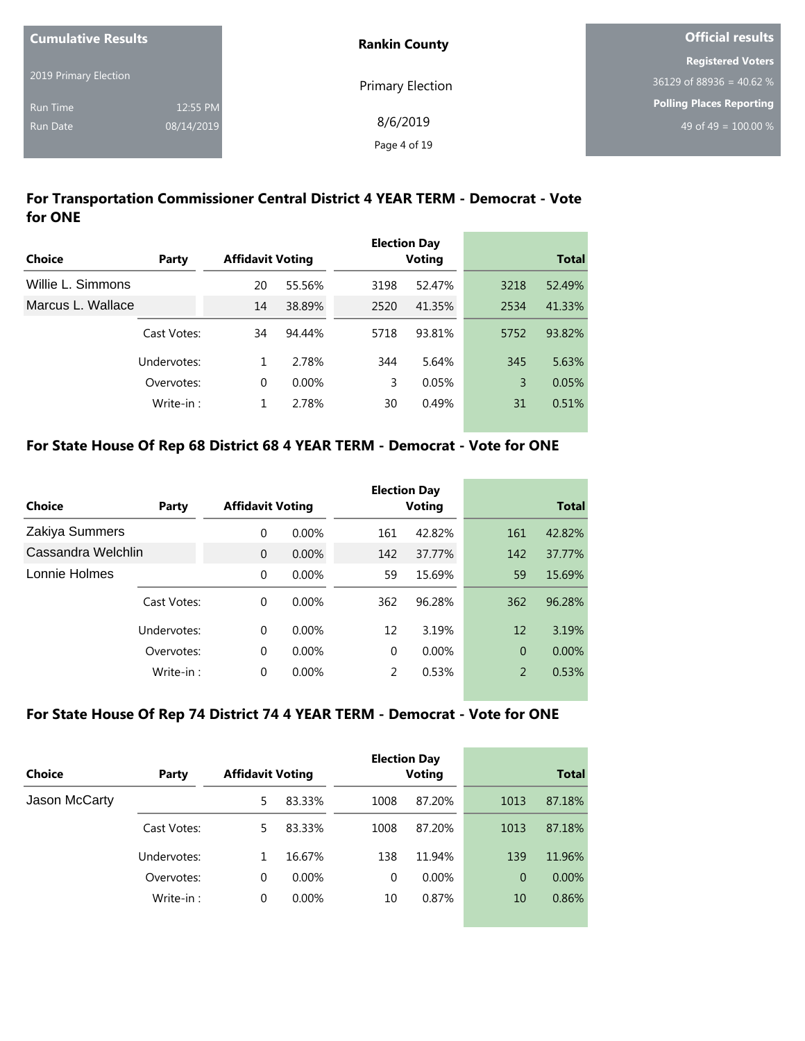| <b>Cumulative Results</b> |            | <b>Rankin County</b>    | <b>Official results</b>    |
|---------------------------|------------|-------------------------|----------------------------|
|                           |            |                         | <b>Registered Voters</b>   |
| 2019 Primary Election     |            | <b>Primary Election</b> | $36129$ of 88936 = 40.62 % |
| <b>Run Time</b>           | 12:55 PM   |                         | Polling Places Reporting   |
| Run Date                  | 08/14/2019 | 8/6/2019                | 49 of 49 = $100.00\%$      |
|                           |            | Page 4 of 19            |                            |

## **For Transportation Commissioner Central District 4 YEAR TERM - Democrat - Vote for ONE**

|                   |             |                         |          |      | <b>Election Day</b> |      |              |
|-------------------|-------------|-------------------------|----------|------|---------------------|------|--------------|
| Choice            | Party       | <b>Affidavit Voting</b> |          |      | <b>Voting</b>       |      | <b>Total</b> |
| Willie L. Simmons |             | 20                      | 55.56%   | 3198 | 52.47%              | 3218 | 52.49%       |
| Marcus L. Wallace |             | 14                      | 38.89%   | 2520 | 41.35%              | 2534 | 41.33%       |
|                   | Cast Votes: | 34                      | 94.44%   | 5718 | 93.81%              | 5752 | 93.82%       |
|                   | Undervotes: | 1                       | 2.78%    | 344  | 5.64%               | 345  | 5.63%        |
|                   | Overvotes:  | $\Omega$                | $0.00\%$ | 3    | 0.05%               | 3    | 0.05%        |
|                   | Write-in:   | 1                       | 2.78%    | 30   | 0.49%               | 31   | 0.51%        |

### **For State House Of Rep 68 District 68 4 YEAR TERM - Democrat - Vote for ONE**

|                    |             |                         |          |               | <b>Election Day</b> |              |          |
|--------------------|-------------|-------------------------|----------|---------------|---------------------|--------------|----------|
| Choice             | Party       | <b>Affidavit Voting</b> |          | <b>Voting</b> |                     | <b>Total</b> |          |
| Zakiya Summers     |             | 0                       | $0.00\%$ | 161           | 42.82%              | 161          | 42.82%   |
| Cassandra Welchlin |             | $\Omega$                | 0.00%    | 142           | 37.77%              | 142          | 37.77%   |
| Lonnie Holmes      |             | $\Omega$                | $0.00\%$ | 59            | 15.69%              | 59           | 15.69%   |
|                    | Cast Votes: | $\Omega$                | $0.00\%$ | 362           | 96.28%              | 362          | 96.28%   |
|                    | Undervotes: | $\Omega$                | $0.00\%$ | 12            | 3.19%               | 12           | 3.19%    |
|                    | Overvotes:  | $\Omega$                | $0.00\%$ | $\Omega$      | 0.00%               | $\mathbf{0}$ | $0.00\%$ |
|                    | Write-in:   | $\Omega$                | $0.00\%$ | 2             | 0.53%               | 2            | 0.53%    |

#### **For State House Of Rep 74 District 74 4 YEAR TERM - Democrat - Vote for ONE**

| Choice        | Party       | <b>Affidavit Voting</b> |          |          | <b>Election Day</b><br><b>Voting</b> |      | <b>Total</b> |
|---------------|-------------|-------------------------|----------|----------|--------------------------------------|------|--------------|
| Jason McCarty |             | 5                       | 83.33%   | 1008     | 87.20%                               | 1013 | 87.18%       |
|               | Cast Votes: | 5                       | 83.33%   | 1008     | 87.20%                               | 1013 | 87.18%       |
|               | Undervotes: | 1                       | 16.67%   | 138      | 11.94%                               | 139  | 11.96%       |
|               | Overvotes:  | 0                       | $0.00\%$ | $\Omega$ | $0.00\%$                             | 0    | $0.00\%$     |
|               | Write-in:   | 0                       | $0.00\%$ | 10       | 0.87%                                | 10   | 0.86%        |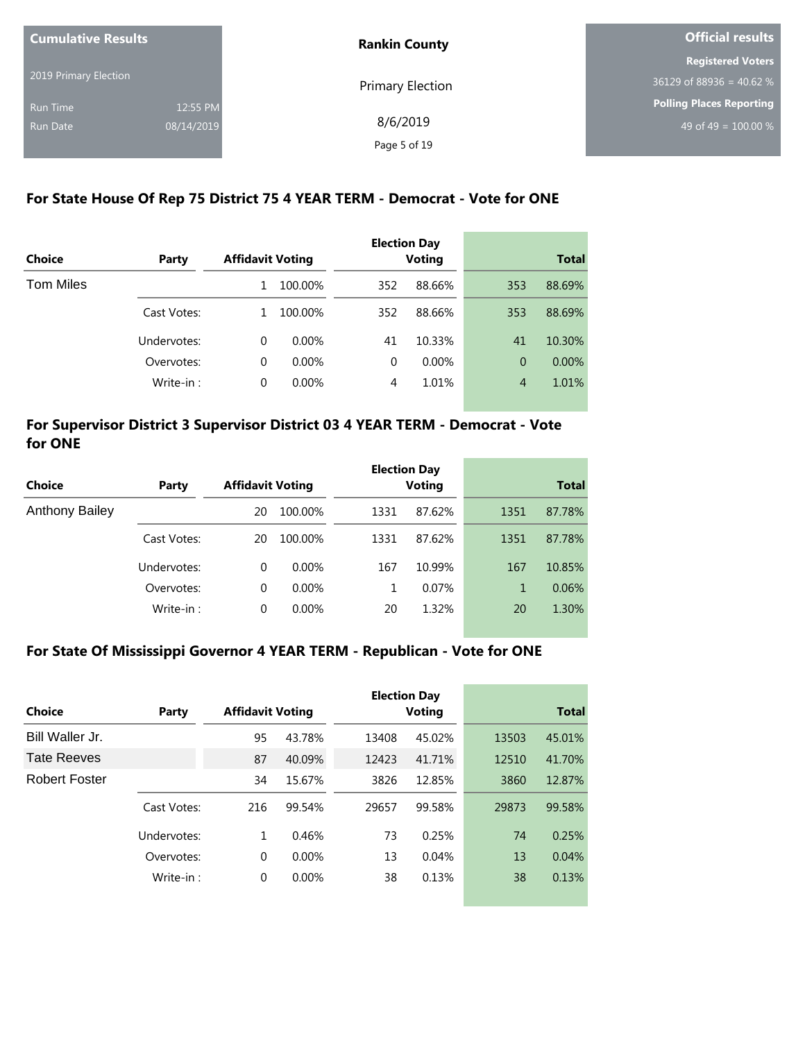| <b>Cumulative Results</b> |            | <b>Rankin County</b>    | <b>Official results</b>          |  |
|---------------------------|------------|-------------------------|----------------------------------|--|
|                           |            |                         | <b>Registered Voters</b>         |  |
| 2019 Primary Election     |            | <b>Primary Election</b> | $36129$ of 88936 = 40.62 %       |  |
| Run Time                  | 12:55 PM   |                         | Polling Places Reporting         |  |
| <b>Run Date</b>           | 08/14/2019 | 8/6/2019                | 49 of 49 = $\overline{100.00\%}$ |  |
|                           |            | Page 5 of 19            |                                  |  |

### **For State House Of Rep 75 District 75 4 YEAR TERM - Democrat - Vote for ONE**

|               |             |                         |          |          | <b>Election Day</b> |                |              |
|---------------|-------------|-------------------------|----------|----------|---------------------|----------------|--------------|
| <b>Choice</b> | Party       | <b>Affidavit Voting</b> |          |          | <b>Voting</b>       |                | <b>Total</b> |
| Tom Miles     |             | 1                       | 100.00%  | 352      | 88.66%              | 353            | 88.69%       |
|               | Cast Votes: | 1.                      | 100.00%  | 352      | 88.66%              | 353            | 88.69%       |
|               | Undervotes: | $\Omega$                | $0.00\%$ | 41       | 10.33%              | 41             | 10.30%       |
|               | Overvotes:  | $\Omega$                | $0.00\%$ | $\Omega$ | 0.00%               | $\overline{0}$ | $0.00\%$     |
|               | Write-in:   | 0                       | 0.00%    | 4        | 1.01%               | $\overline{4}$ | 1.01%        |

#### **For Supervisor District 3 Supervisor District 03 4 YEAR TERM - Democrat - Vote for ONE**

|                       |             |                         |          |      | <b>Election Day</b> |              |        |
|-----------------------|-------------|-------------------------|----------|------|---------------------|--------------|--------|
| Choice                | Party       | <b>Affidavit Voting</b> |          |      | <b>Voting</b>       | <b>Total</b> |        |
| <b>Anthony Bailey</b> |             | 20                      | 100.00%  | 1331 | 87.62%              | 1351         | 87.78% |
|                       | Cast Votes: | 20                      | 100.00%  | 1331 | 87.62%              | 1351         | 87.78% |
|                       | Undervotes: | 0                       | $0.00\%$ | 167  | 10.99%              | 167          | 10.85% |
|                       | Overvotes:  | 0                       | $0.00\%$ |      | 0.07%               | 1            | 0.06%  |
|                       | Write-in:   | 0                       | 0.00%    | 20   | 1.32%               | 20           | 1.30%  |

#### **For State Of Mississippi Governor 4 YEAR TERM - Republican - Vote for ONE**

| Choice               | Party       | <b>Affidavit Voting</b> |          |       | <b>Election Day</b><br>Voting |       | <b>Total</b> |
|----------------------|-------------|-------------------------|----------|-------|-------------------------------|-------|--------------|
| Bill Waller Jr.      |             | 95                      | 43.78%   | 13408 | 45.02%                        | 13503 | 45.01%       |
| <b>Tate Reeves</b>   |             | 87                      | 40.09%   | 12423 | 41.71%                        | 12510 | 41.70%       |
| <b>Robert Foster</b> |             | 34                      | 15.67%   | 3826  | 12.85%                        | 3860  | 12.87%       |
|                      | Cast Votes: | 216                     | 99.54%   | 29657 | 99.58%                        | 29873 | 99.58%       |
|                      | Undervotes: | 1                       | 0.46%    | 73    | 0.25%                         | 74    | 0.25%        |
|                      | Overvotes:  | $\Omega$                | $0.00\%$ | 13    | 0.04%                         | 13    | 0.04%        |
|                      | Write-in:   | 0                       | $0.00\%$ | 38    | 0.13%                         | 38    | 0.13%        |
|                      |             |                         |          |       |                               |       |              |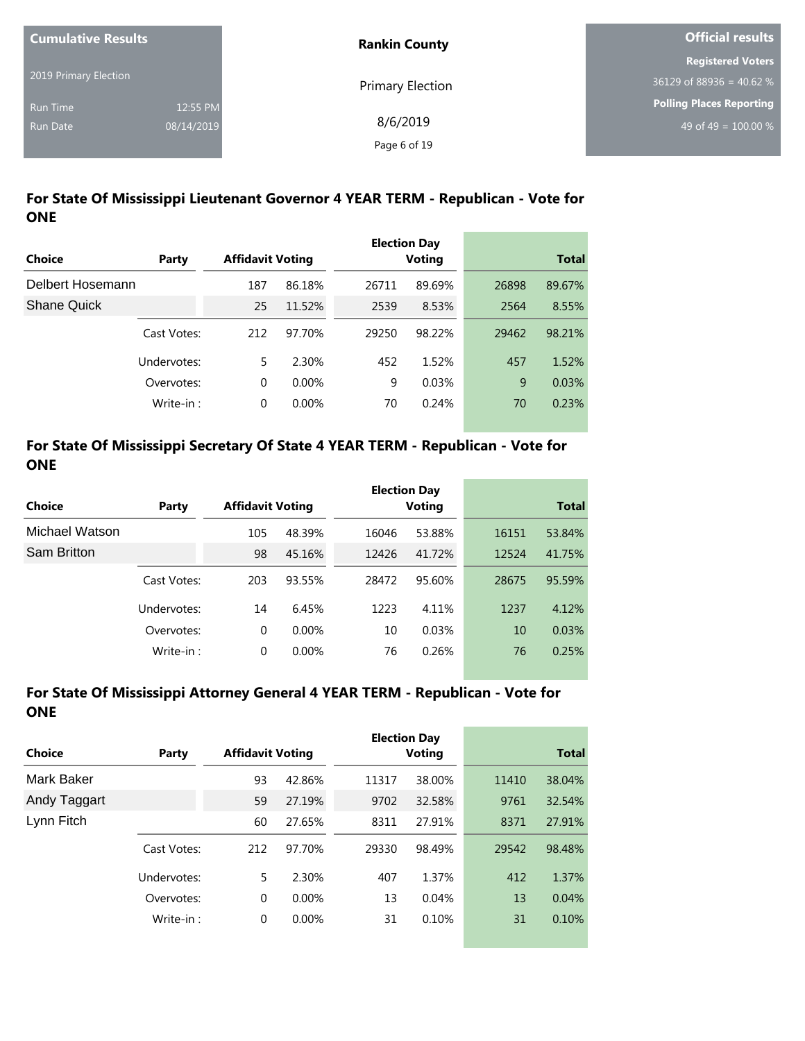| <b>Cumulative Results</b> |            | <b>Rankin County</b>    | Official results                |
|---------------------------|------------|-------------------------|---------------------------------|
|                           |            |                         | <b>Registered Voters</b>        |
| 2019 Primary Election     |            | <b>Primary Election</b> | $36129$ of 88936 = 40.62 %      |
| <b>Run Time</b>           | 12:55 PM   |                         | <b>Polling Places Reporting</b> |
| <b>Run Date</b>           | 08/14/2019 | 8/6/2019                | 49 of 49 = $100.00\%$           |
|                           |            | Page 6 of 19            |                                 |

## **For State Of Mississippi Lieutenant Governor 4 YEAR TERM - Republican - Vote for ONE**

|                    |             |                         |          |       | <b>Election Day</b> |       |              |
|--------------------|-------------|-------------------------|----------|-------|---------------------|-------|--------------|
| Choice             | Party       | <b>Affidavit Voting</b> |          |       | <b>Voting</b>       |       | <b>Total</b> |
| Delbert Hosemann   |             | 187                     | 86.18%   | 26711 | 89.69%              | 26898 | 89.67%       |
| <b>Shane Quick</b> |             | 25                      | 11.52%   | 2539  | 8.53%               | 2564  | 8.55%        |
|                    | Cast Votes: | 212                     | 97.70%   | 29250 | 98.22%              | 29462 | 98.21%       |
|                    | Undervotes: | 5.                      | 2.30%    | 452   | 1.52%               | 457   | 1.52%        |
|                    | Overvotes:  | 0                       | $0.00\%$ | 9     | 0.03%               | 9     | 0.03%        |
|                    | Write-in:   | 0                       | 0.00%    | 70    | 0.24%               | 70    | 0.23%        |

### **For State Of Mississippi Secretary Of State 4 YEAR TERM - Republican - Vote for ONE**

|                |             |                         |          |       | <b>Election Day</b> |       |              |
|----------------|-------------|-------------------------|----------|-------|---------------------|-------|--------------|
| Choice         | Party       | <b>Affidavit Voting</b> |          |       | <b>Voting</b>       |       | <b>Total</b> |
| Michael Watson |             | 105                     | 48.39%   | 16046 | 53.88%              | 16151 | 53.84%       |
| Sam Britton    |             | 98                      | 45.16%   | 12426 | 41.72%              | 12524 | 41.75%       |
|                | Cast Votes: | 203                     | 93.55%   | 28472 | 95.60%              | 28675 | 95.59%       |
|                | Undervotes: | 14                      | 6.45%    | 1223  | 4.11%               | 1237  | 4.12%        |
|                | Overvotes:  | 0                       | $0.00\%$ | 10    | 0.03%               | 10    | 0.03%        |
|                | Write-in:   | 0                       | $0.00\%$ | 76    | 0.26%               | 76    | 0.25%        |

# **For State Of Mississippi Attorney General 4 YEAR TERM - Republican - Vote for ONE**

|              |             |                         |          |               | <b>Election Day</b> |              |        |
|--------------|-------------|-------------------------|----------|---------------|---------------------|--------------|--------|
| Choice       | Party       | <b>Affidavit Voting</b> |          | <b>Voting</b> |                     | <b>Total</b> |        |
| Mark Baker   |             | 93                      | 42.86%   | 11317         | 38.00%              | 11410        | 38.04% |
| Andy Taggart |             | 59                      | 27.19%   | 9702          | 32.58%              | 9761         | 32.54% |
| Lynn Fitch   |             | 60                      | 27.65%   | 8311          | 27.91%              | 8371         | 27.91% |
|              | Cast Votes: | 212                     | 97.70%   | 29330         | 98.49%              | 29542        | 98.48% |
|              | Undervotes: | 5                       | 2.30%    | 407           | 1.37%               | 412          | 1.37%  |
|              | Overvotes:  | $\Omega$                | $0.00\%$ | 13            | 0.04%               | 13           | 0.04%  |
|              | Write-in:   | $\mathbf 0$             | $0.00\%$ | 31            | 0.10%               | 31           | 0.10%  |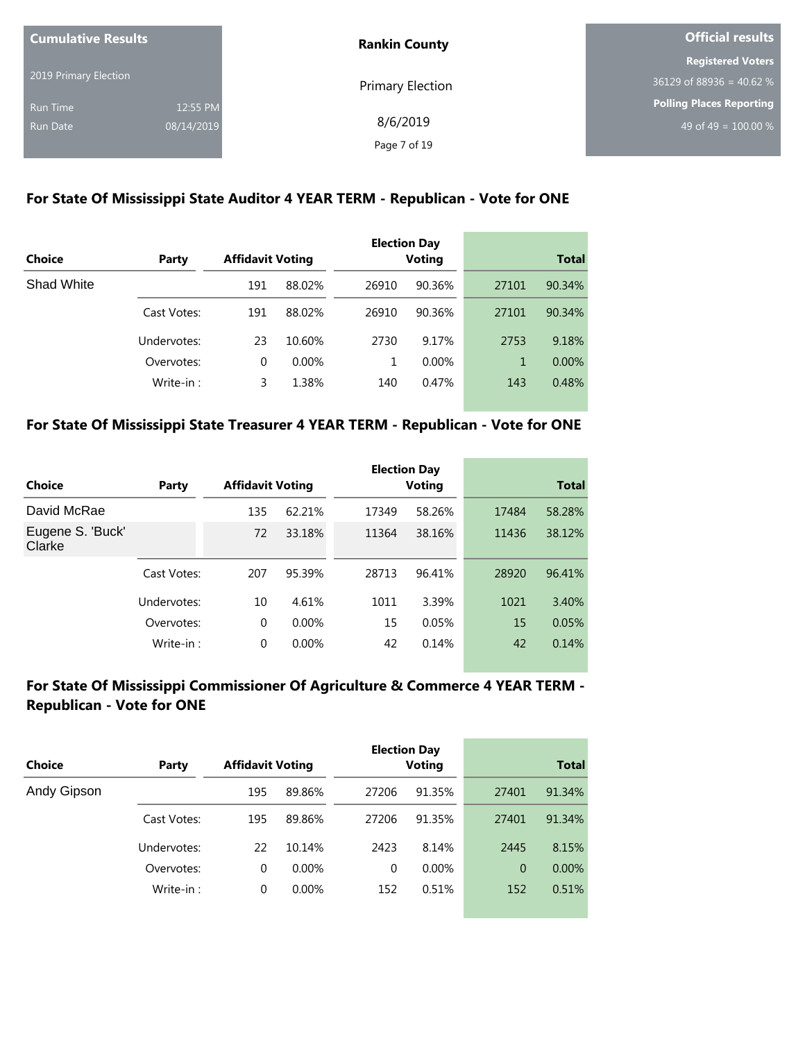| <b>Cumulative Results</b> |            | <b>Rankin County</b> | Official results           |  |
|---------------------------|------------|----------------------|----------------------------|--|
|                           |            |                      | <b>Registered Voters</b>   |  |
| 2019 Primary Election     |            | Primary Election     | $36129$ of 88936 = 40.62 % |  |
| <b>Run Time</b>           | 12:55 PM   |                      | Polling Places Reporting   |  |
| <b>Run Date</b>           | 08/14/2019 | 8/6/2019             | 49 of 49 = $100.00\%$      |  |
|                           |            | Page 7 of 19         |                            |  |

#### **For State Of Mississippi State Auditor 4 YEAR TERM - Republican - Vote for ONE**

| <b>Choice</b> | Party       | <b>Affidavit Voting</b> |          |       | <b>Election Day</b><br><b>Voting</b> |       | <b>Total</b> |
|---------------|-------------|-------------------------|----------|-------|--------------------------------------|-------|--------------|
| Shad White    |             | 191                     | 88.02%   | 26910 | 90.36%                               | 27101 | 90.34%       |
|               | Cast Votes: | 191                     | 88.02%   | 26910 | 90.36%                               | 27101 | 90.34%       |
|               | Undervotes: | 23                      | 10.60%   | 2730  | 9.17%                                | 2753  | 9.18%        |
|               | Overvotes:  | $\Omega$                | $0.00\%$ | 1.    | $0.00\%$                             | 1     | $0.00\%$     |
|               | Write-in:   | 3                       | 1.38%    | 140   | 0.47%                                | 143   | 0.48%        |

#### **For State Of Mississippi State Treasurer 4 YEAR TERM - Republican - Vote for ONE**

|                            |             |                         |          |       | <b>Election Day</b> |       |              |
|----------------------------|-------------|-------------------------|----------|-------|---------------------|-------|--------------|
| Choice                     | Party       | <b>Affidavit Voting</b> |          |       | <b>Voting</b>       |       | <b>Total</b> |
| David McRae                |             | 135                     | 62.21%   | 17349 | 58.26%              | 17484 | 58.28%       |
| Eugene S. 'Buck'<br>Clarke |             | 72                      | 33.18%   | 11364 | 38.16%              | 11436 | 38.12%       |
|                            | Cast Votes: | 207                     | 95.39%   | 28713 | 96.41%              | 28920 | 96.41%       |
|                            | Undervotes: | 10                      | 4.61%    | 1011  | 3.39%               | 1021  | 3.40%        |
|                            | Overvotes:  | 0                       | $0.00\%$ | 15    | 0.05%               | 15    | 0.05%        |
|                            | Write-in:   | 0                       | $0.00\%$ | 42    | 0.14%               | 42    | 0.14%        |

#### **For State Of Mississippi Commissioner Of Agriculture & Commerce 4 YEAR TERM - Republican - Vote for ONE**

| Choice      | Party       | <b>Affidavit Voting</b> |          |          | <b>Election Day</b><br><b>Voting</b> |                | <b>Total</b> |
|-------------|-------------|-------------------------|----------|----------|--------------------------------------|----------------|--------------|
| Andy Gipson |             | 195                     | 89.86%   | 27206    | 91.35%                               | 27401          | 91.34%       |
|             | Cast Votes: | 195                     | 89.86%   | 27206    | 91.35%                               | 27401          | 91.34%       |
|             | Undervotes: | 22                      | 10.14%   | 2423     | 8.14%                                | 2445           | 8.15%        |
|             | Overvotes:  | 0                       | $0.00\%$ | $\Omega$ | $0.00\%$                             | $\overline{0}$ | $0.00\%$     |
|             | Write-in:   | 0                       | $0.00\%$ | 152      | 0.51%                                | 152            | 0.51%        |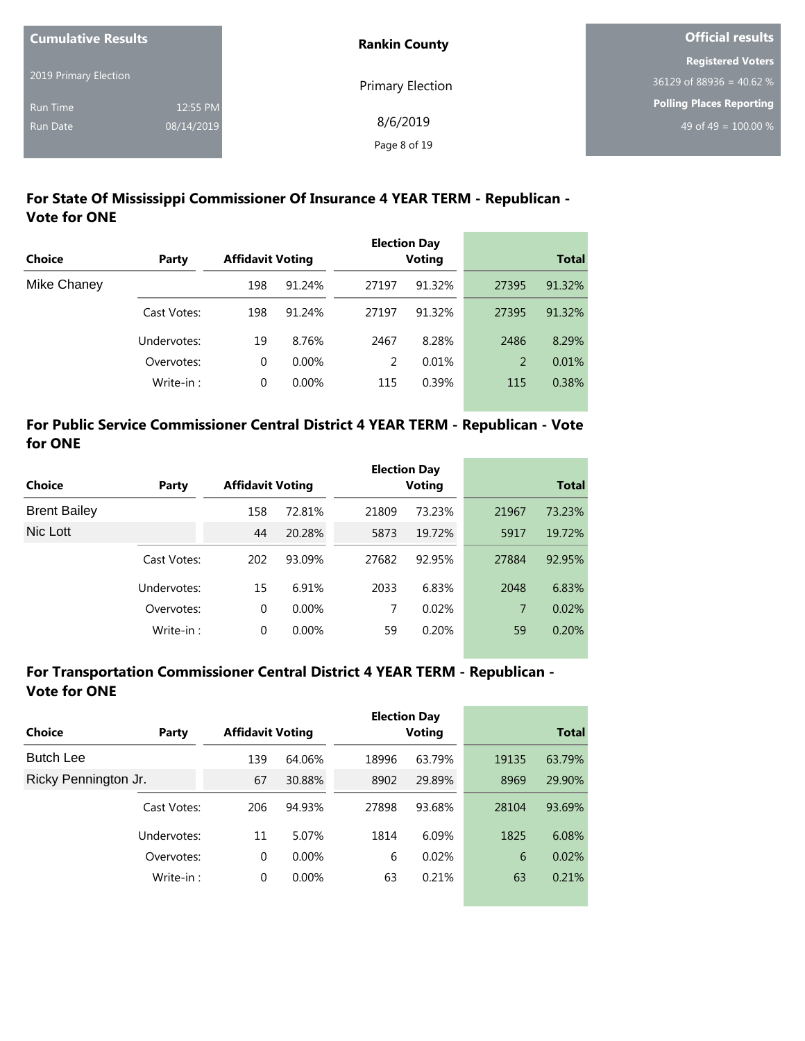| <b>Cumulative Results</b> |            | <b>Rankin County</b>    | <b>Official results</b>    |  |
|---------------------------|------------|-------------------------|----------------------------|--|
|                           |            |                         | <b>Registered Voters</b>   |  |
| 2019 Primary Election     |            | <b>Primary Election</b> | $36129$ of 88936 = 40.62 % |  |
| <b>Run Time</b>           | 12:55 PM   |                         | Polling Places Reporting   |  |
| <b>Run Date</b>           | 08/14/2019 | 8/6/2019                | 49 of 49 = $100.00\%$      |  |
|                           |            | Page 8 of 19            |                            |  |

the control of the control of the

# **For State Of Mississippi Commissioner Of Insurance 4 YEAR TERM - Republican - Vote for ONE**

| <b>Choice</b> | Party       | <b>Affidavit Voting</b> |          |       | <b>Election Day</b><br><b>Voting</b> |       | <b>Total</b> |
|---------------|-------------|-------------------------|----------|-------|--------------------------------------|-------|--------------|
|               |             |                         |          |       |                                      |       |              |
| Mike Chaney   |             | 198                     | 91.24%   | 27197 | 91.32%                               | 27395 | 91.32%       |
|               | Cast Votes: | 198                     | 91.24%   | 27197 | 91.32%                               | 27395 | 91.32%       |
|               | Undervotes: | 19                      | 8.76%    | 2467  | 8.28%                                | 2486  | 8.29%        |
|               | Overvotes:  | 0                       | $0.00\%$ | 2     | 0.01%                                | 2     | 0.01%        |
|               | Write-in:   | 0                       | 0.00%    | 115   | 0.39%                                | 115   | 0.38%        |

#### **For Public Service Commissioner Central District 4 YEAR TERM - Republican - Vote for ONE**

|                     |             |     |                         |       | <b>Election Day</b> |       |              |
|---------------------|-------------|-----|-------------------------|-------|---------------------|-------|--------------|
| Choice              | Party       |     | <b>Affidavit Voting</b> |       | <b>Voting</b>       |       | <b>Total</b> |
| <b>Brent Bailey</b> |             | 158 | 72.81%                  | 21809 | 73.23%              | 21967 | 73.23%       |
| Nic Lott            |             | 44  | 20.28%                  | 5873  | 19.72%              | 5917  | 19.72%       |
|                     | Cast Votes: | 202 | 93.09%                  | 27682 | 92.95%              | 27884 | 92.95%       |
|                     | Undervotes: | 15  | 6.91%                   | 2033  | 6.83%               | 2048  | 6.83%        |
|                     | Overvotes:  | 0   | $0.00\%$                | 7     | 0.02%               | 7     | 0.02%        |
|                     | Write-in:   | 0   | $0.00\%$                | 59    | 0.20%               | 59    | 0.20%        |

#### **For Transportation Commissioner Central District 4 YEAR TERM - Republican - Vote for ONE**

| Choice               | Party       | <b>Affidavit Voting</b> |          |       | <b>Election Day</b><br><b>Voting</b> |       | <b>Total</b> |
|----------------------|-------------|-------------------------|----------|-------|--------------------------------------|-------|--------------|
|                      |             |                         |          |       |                                      |       |              |
| <b>Butch Lee</b>     |             | 139                     | 64.06%   | 18996 | 63.79%                               | 19135 | 63.79%       |
| Ricky Pennington Jr. |             | 67                      | 30.88%   | 8902  | 29.89%                               | 8969  | 29.90%       |
|                      | Cast Votes: | 206                     | 94.93%   | 27898 | 93.68%                               | 28104 | 93.69%       |
|                      | Undervotes: | 11                      | 5.07%    | 1814  | 6.09%                                | 1825  | 6.08%        |
| Overvotes:           |             | 0                       | $0.00\%$ | 6     | 0.02%                                | 6     | 0.02%        |
| Write-in:            |             | 0                       | $0.00\%$ | 63    | 0.21%                                | 63    | 0.21%        |
|                      |             |                         |          |       |                                      |       |              |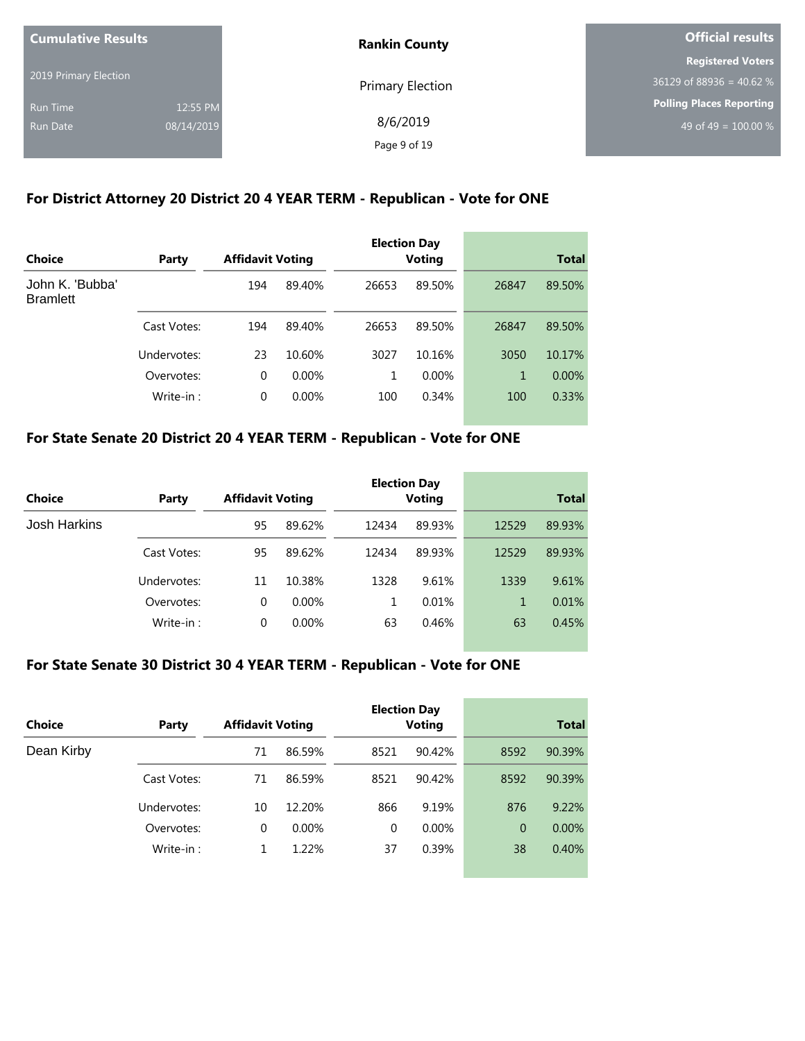| <b>Cumulative Results</b> |            | <b>Rankin County</b>    | Official results           |  |
|---------------------------|------------|-------------------------|----------------------------|--|
|                           |            |                         | <b>Registered Voters</b>   |  |
| 2019 Primary Election     |            | <b>Primary Election</b> | $36129$ of 88936 = 40.62 % |  |
| <b>Run Time</b>           | 12:55 PM   |                         | Polling Places Reporting   |  |
| Run Date                  | 08/14/2019 | 8/6/2019                | 49 of 49 = $100.00\%$      |  |
|                           |            | Page 9 of 19            |                            |  |

## **For District Attorney 20 District 20 4 YEAR TERM - Republican - Vote for ONE**

| Choice                             |             | <b>Affidavit Voting</b> |          |       | <b>Election Day</b> |       | <b>Total</b> |
|------------------------------------|-------------|-------------------------|----------|-------|---------------------|-------|--------------|
|                                    | Party       |                         |          |       | <b>Voting</b>       |       |              |
| John K. 'Bubba'<br><b>Bramlett</b> |             | 194                     | 89.40%   | 26653 | 89.50%              | 26847 | 89.50%       |
|                                    | Cast Votes: | 194                     | 89.40%   | 26653 | 89.50%              | 26847 | 89.50%       |
|                                    | Undervotes: | 23                      | 10.60%   | 3027  | 10.16%              | 3050  | 10.17%       |
|                                    | Overvotes:  | 0                       | $0.00\%$ | 1     | 0.00%               | 1     | $0.00\%$     |
|                                    | Write-in:   | 0                       | 0.00%    | 100   | 0.34%               | 100   | 0.33%        |

## **For State Senate 20 District 20 4 YEAR TERM - Republican - Vote for ONE**

| Choice       | Party       | <b>Affidavit Voting</b> |          |       | <b>Election Day</b><br><b>Voting</b> |       | <b>Total</b> |
|--------------|-------------|-------------------------|----------|-------|--------------------------------------|-------|--------------|
| Josh Harkins |             | 95                      | 89.62%   | 12434 | 89.93%                               | 12529 | 89.93%       |
|              | Cast Votes: | 95                      | 89.62%   | 12434 | 89.93%                               | 12529 | 89.93%       |
|              | Undervotes: | 11                      | 10.38%   | 1328  | 9.61%                                | 1339  | 9.61%        |
|              | Overvotes:  | 0                       | $0.00\%$ | 1     | 0.01%                                | 1     | 0.01%        |
|              | Write-in:   | 0                       | $0.00\%$ | 63    | 0.46%                                | 63    | 0.45%        |

#### **For State Senate 30 District 30 4 YEAR TERM - Republican - Vote for ONE**

| Choice     | Party       | <b>Affidavit Voting</b> |          |          | <b>Election Day</b><br><b>Voting</b> |                | <b>Total</b> |
|------------|-------------|-------------------------|----------|----------|--------------------------------------|----------------|--------------|
| Dean Kirby |             | 71                      | 86.59%   | 8521     | 90.42%                               | 8592           | 90.39%       |
|            | Cast Votes: | 71                      | 86.59%   | 8521     | 90.42%                               | 8592           | 90.39%       |
|            | Undervotes: | 10                      | 12.20%   | 866      | 9.19%                                | 876            | 9.22%        |
|            | Overvotes:  | 0                       | $0.00\%$ | $\Omega$ | $0.00\%$                             | $\overline{0}$ | $0.00\%$     |
|            | Write-in:   |                         | 1.22%    | 37       | 0.39%                                | 38             | 0.40%        |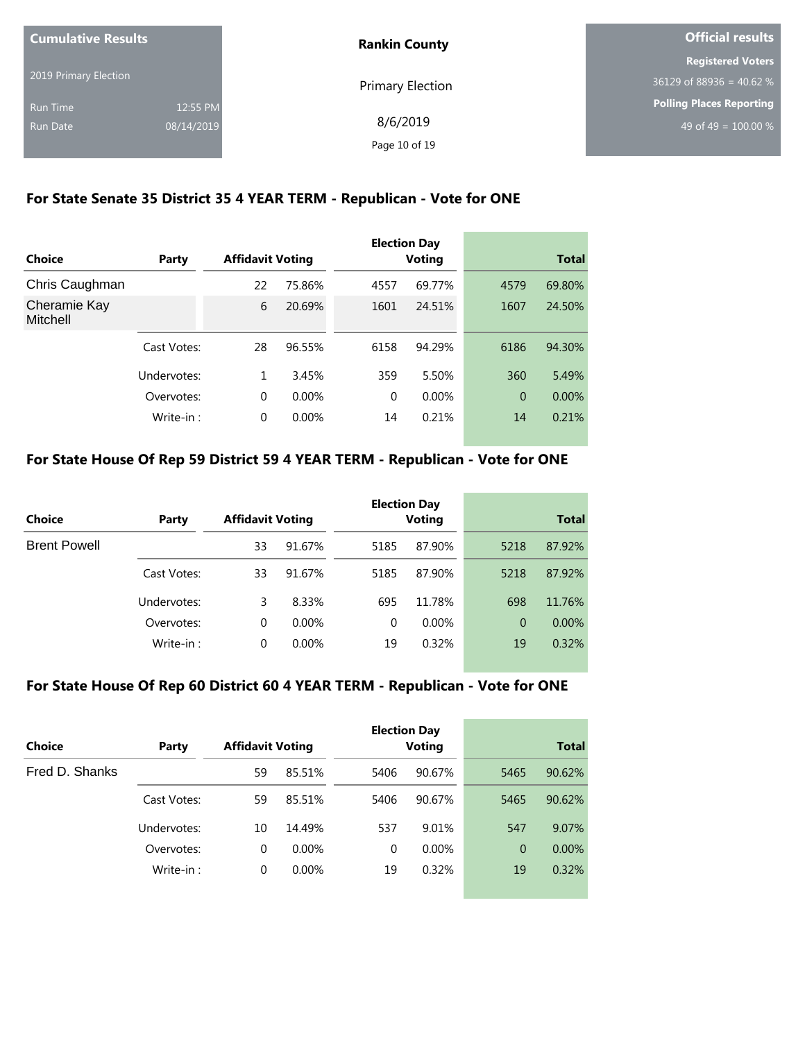| <b>Cumulative Results</b> |            | <b>Rankin County</b> | Official results                 |  |
|---------------------------|------------|----------------------|----------------------------------|--|
|                           |            |                      | <b>Registered Voters</b>         |  |
| 2019 Primary Election     |            | Primary Election     | $36129$ of 88936 = 40.62 %       |  |
| Run Time                  | 12:55 PM   |                      | Polling Places Reporting         |  |
| Run Date                  | 08/14/2019 | 8/6/2019             | 49 of 49 = $\overline{100.00\%}$ |  |
|                           |            | Page 10 of 19        |                                  |  |

## **For State Senate 35 District 35 4 YEAR TERM - Republican - Vote for ONE**

| Choice                   | Party       | <b>Affidavit Voting</b> |          | <b>Election Day</b><br><b>Voting</b> |        |                | <b>Total</b> |
|--------------------------|-------------|-------------------------|----------|--------------------------------------|--------|----------------|--------------|
| Chris Caughman           |             | 22                      | 75.86%   | 4557                                 | 69.77% | 4579           | 69.80%       |
| Cheramie Kay<br>Mitchell |             | 6                       | 20.69%   | 1601                                 | 24.51% | 1607           | 24.50%       |
|                          | Cast Votes: | 28                      | 96.55%   | 6158                                 | 94.29% | 6186           | 94.30%       |
|                          | Undervotes: | 1                       | 3.45%    | 359                                  | 5.50%  | 360            | 5.49%        |
|                          | Overvotes:  | $\Omega$                | $0.00\%$ | $\Omega$                             | 0.00%  | $\overline{0}$ | $0.00\%$     |
|                          | Write-in:   | $\mathbf 0$             | 0.00%    | 14                                   | 0.21%  | 14             | 0.21%        |

#### **For State House Of Rep 59 District 59 4 YEAR TERM - Republican - Vote for ONE**

| Choice              | Party       | <b>Affidavit Voting</b> |          |          | <b>Election Day</b><br><b>Voting</b> |                | <b>Total</b> |
|---------------------|-------------|-------------------------|----------|----------|--------------------------------------|----------------|--------------|
| <b>Brent Powell</b> |             | 33                      | 91.67%   | 5185     | 87.90%                               | 5218           | 87.92%       |
|                     | Cast Votes: | 33                      | 91.67%   | 5185     | 87.90%                               | 5218           | 87.92%       |
|                     | Undervotes: | 3                       | 8.33%    | 695      | 11.78%                               | 698            | 11.76%       |
|                     | Overvotes:  | 0                       | $0.00\%$ | $\Omega$ | 0.00%                                | $\overline{0}$ | $0.00\%$     |
|                     | Write-in:   | 0                       | $0.00\%$ | 19       | 0.32%                                | 19             | 0.32%        |

## **For State House Of Rep 60 District 60 4 YEAR TERM - Republican - Vote for ONE**

| Choice         | Party       | <b>Affidavit Voting</b> |          |          | <b>Election Day</b><br><b>Voting</b> |              | <b>Total</b> |
|----------------|-------------|-------------------------|----------|----------|--------------------------------------|--------------|--------------|
| Fred D. Shanks |             | 59                      | 85.51%   | 5406     | 90.67%                               | 5465         | 90.62%       |
|                | Cast Votes: | 59                      | 85.51%   | 5406     | 90.67%                               | 5465         | 90.62%       |
|                | Undervotes: | 10                      | 14.49%   | 537      | 9.01%                                | 547          | 9.07%        |
|                | Overvotes:  | $\Omega$                | $0.00\%$ | $\Omega$ | $0.00\%$                             | $\mathbf{0}$ | $0.00\%$     |
|                | Write-in:   | 0                       | 0.00%    | 19       | 0.32%                                | 19           | 0.32%        |
|                |             |                         |          |          |                                      |              |              |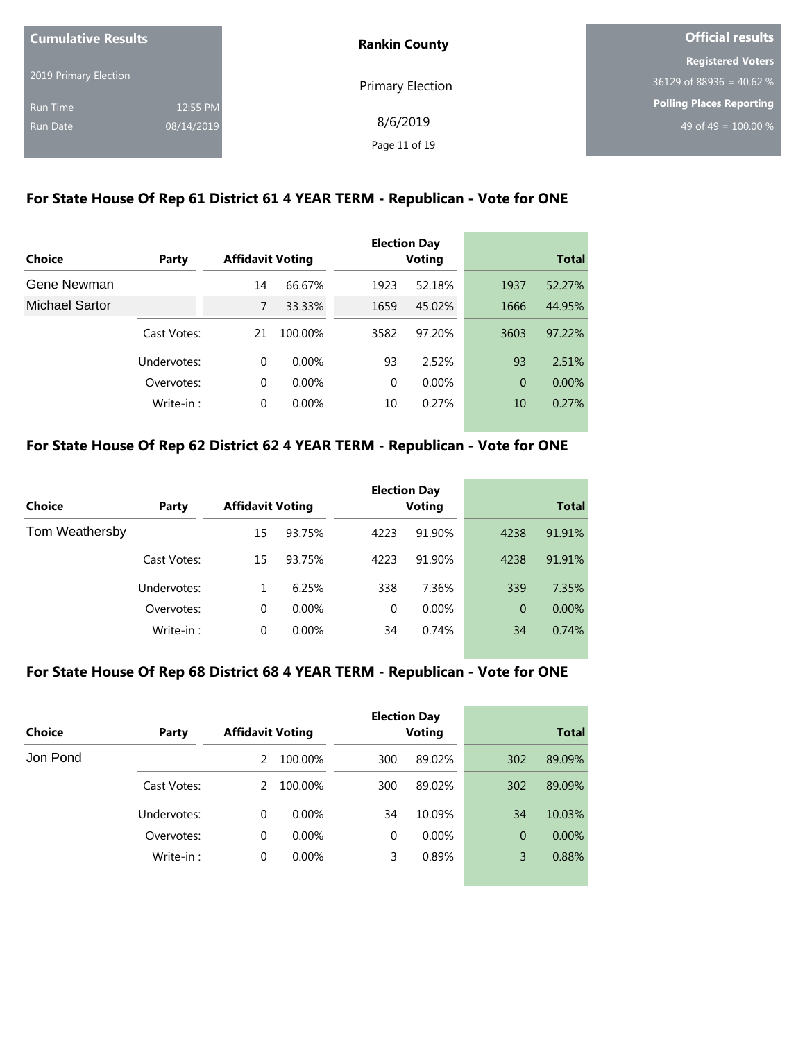| <b>Cumulative Results</b> |            | <b>Rankin County</b>    | Official results           |  |
|---------------------------|------------|-------------------------|----------------------------|--|
|                           |            |                         | <b>Registered Voters</b>   |  |
| 2019 Primary Election     |            | <b>Primary Election</b> | $36129$ of 88936 = 40.62 % |  |
| <b>Run Time</b>           | 12:55 PM   |                         | Polling Places Reporting   |  |
| <b>Run Date</b>           | 08/14/2019 | 8/6/2019                | 49 of 49 = $100.00\%$      |  |
|                           |            | Page 11 of 19           |                            |  |

## **For State House Of Rep 61 District 61 4 YEAR TERM - Republican - Vote for ONE**

|                |             |                         |          |      | <b>Election Day</b> |          |              |
|----------------|-------------|-------------------------|----------|------|---------------------|----------|--------------|
| Choice         | Party       | <b>Affidavit Voting</b> |          |      | <b>Voting</b>       |          | <b>Total</b> |
| Gene Newman    |             | 14                      | 66.67%   | 1923 | 52.18%              | 1937     | 52.27%       |
| Michael Sartor |             | 7                       | 33.33%   | 1659 | 45.02%              | 1666     | 44.95%       |
|                | Cast Votes: | 21                      | 100.00%  | 3582 | 97.20%              | 3603     | 97.22%       |
|                | Undervotes: | $\Omega$                | $0.00\%$ | 93   | 2.52%               | 93       | 2.51%        |
|                | Overvotes:  | $\Omega$                | $0.00\%$ | 0    | 0.00%               | $\Omega$ | $0.00\%$     |
|                | Write-in:   | $\Omega$                | 0.00%    | 10   | 0.27%               | 10       | 0.27%        |

## **For State House Of Rep 62 District 62 4 YEAR TERM - Republican - Vote for ONE**

|                |             |                         |          |          | <b>Election Day</b> |                |              |
|----------------|-------------|-------------------------|----------|----------|---------------------|----------------|--------------|
| <b>Choice</b>  | Party       | <b>Affidavit Voting</b> |          |          | <b>Voting</b>       |                | <b>Total</b> |
| Tom Weathersby |             | 15                      | 93.75%   | 4223     | 91.90%              | 4238           | 91.91%       |
|                | Cast Votes: | 15                      | 93.75%   | 4223     | 91.90%              | 4238           | 91.91%       |
|                | Undervotes: |                         | 6.25%    | 338      | 7.36%               | 339            | 7.35%        |
|                | Overvotes:  | 0                       | $0.00\%$ | $\Omega$ | $0.00\%$            | $\overline{0}$ | $0.00\%$     |
|                | Write-in:   | 0                       | 0.00%    | 34       | 0.74%               | 34             | 0.74%        |

#### **For State House Of Rep 68 District 68 4 YEAR TERM - Republican - Vote for ONE**

| Choice   | Party       | <b>Affidavit Voting</b> |          |          | <b>Election Day</b><br><b>Voting</b> |     | <b>Total</b> |
|----------|-------------|-------------------------|----------|----------|--------------------------------------|-----|--------------|
| Jon Pond |             | $\mathcal{P}$           | 100.00%  | 300      | 89.02%                               | 302 | 89.09%       |
|          | Cast Votes: | 2                       | 100.00%  | 300      | 89.02%                               | 302 | 89.09%       |
|          | Undervotes: | $\Omega$                | $0.00\%$ | 34       | 10.09%                               | 34  | 10.03%       |
|          | Overvotes:  | $\Omega$                | $0.00\%$ | $\Omega$ | $0.00\%$                             | 0   | $0.00\%$     |
|          | Write-in:   | $\Omega$                | 0.00%    | 3        | 0.89%                                | 3   | 0.88%        |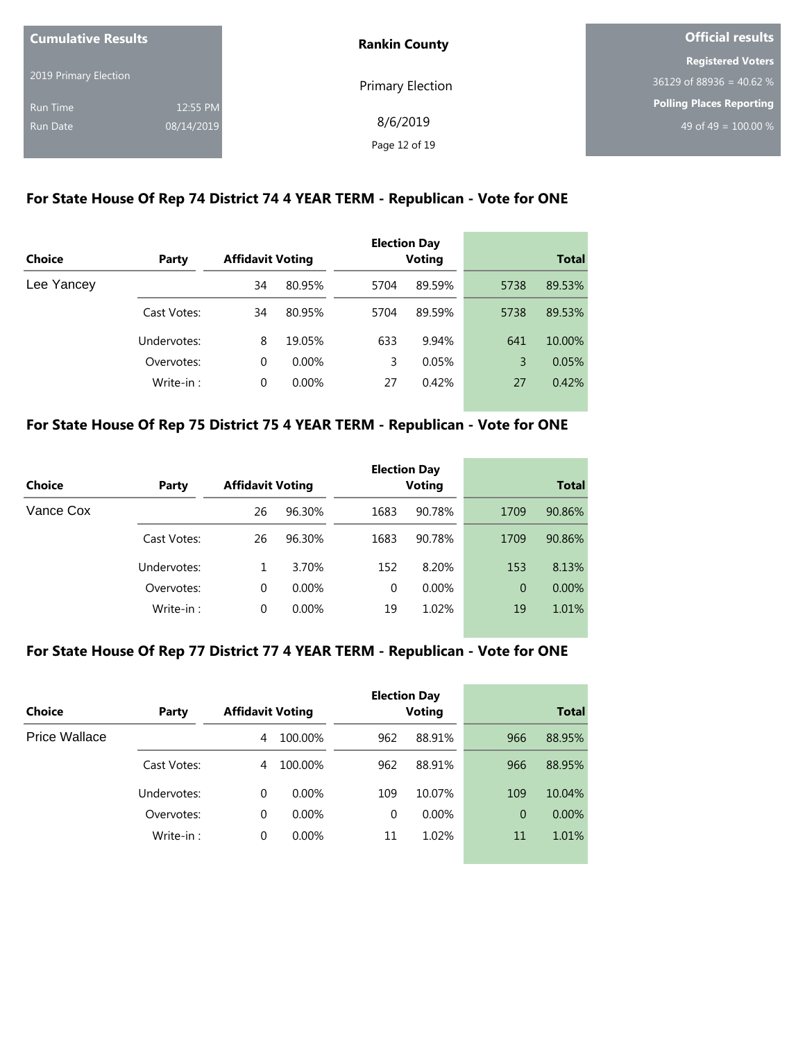| <b>Cumulative Results</b> |            | <b>Rankin County</b>    | <b>Official results</b>         |  |
|---------------------------|------------|-------------------------|---------------------------------|--|
|                           |            |                         | <b>Registered Voters</b>        |  |
| 2019 Primary Election     |            | <b>Primary Election</b> | $36129$ of 88936 = 40.62 %      |  |
| <b>Run Time</b>           | 12:55 PM   |                         | <b>Polling Places Reporting</b> |  |
| Run Date                  | 08/14/2019 | 8/6/2019                | 49 of 49 = $100.00\%$           |  |
|                           |            | Page 12 of 19           |                                 |  |

## **For State House Of Rep 74 District 74 4 YEAR TERM - Republican - Vote for ONE**

|               |             |                         |          |      | <b>Election Day</b> |      |              |
|---------------|-------------|-------------------------|----------|------|---------------------|------|--------------|
| <b>Choice</b> | Party       | <b>Affidavit Voting</b> |          |      | <b>Voting</b>       |      | <b>Total</b> |
| Lee Yancey    |             | 34                      | 80.95%   | 5704 | 89.59%              | 5738 | 89.53%       |
|               | Cast Votes: | 34                      | 80.95%   | 5704 | 89.59%              | 5738 | 89.53%       |
|               | Undervotes: | 8                       | 19.05%   | 633  | 9.94%               | 641  | 10.00%       |
|               | Overvotes:  | $\Omega$                | $0.00\%$ | 3    | 0.05%               | 3    | 0.05%        |
|               | Write-in:   | $\Omega$                | 0.00%    | 27   | 0.42%               | 27   | 0.42%        |

#### **For State House Of Rep 75 District 75 4 YEAR TERM - Republican - Vote for ONE**

| Choice    | Party       | <b>Affidavit Voting</b> |          |          | <b>Election Day</b><br><b>Voting</b> |      | <b>Total</b> |
|-----------|-------------|-------------------------|----------|----------|--------------------------------------|------|--------------|
|           |             |                         |          |          |                                      |      |              |
| Vance Cox |             | 26                      | 96.30%   | 1683     | 90.78%                               | 1709 | 90.86%       |
|           | Cast Votes: | 26                      | 96.30%   | 1683     | 90.78%                               | 1709 | 90.86%       |
|           | Undervotes: |                         | 3.70%    | 152      | 8.20%                                | 153  | 8.13%        |
|           | Overvotes:  | 0                       | $0.00\%$ | $\Omega$ | 0.00%                                | 0    | $0.00\%$     |
|           | Write-in:   | 0                       | 0.00%    | 19       | 1.02%                                | 19   | 1.01%        |

#### **For State House Of Rep 77 District 77 4 YEAR TERM - Republican - Vote for ONE**

| Choice        | Party       | <b>Affidavit Voting</b> |          |     | <b>Election Day</b><br><b>Voting</b> |                | <b>Total</b> |
|---------------|-------------|-------------------------|----------|-----|--------------------------------------|----------------|--------------|
| Price Wallace |             | 4                       | 100.00%  | 962 | 88.91%                               | 966            | 88.95%       |
|               | Cast Votes: | 4                       | 100.00%  | 962 | 88.91%                               | 966            | 88.95%       |
|               | Undervotes: | $\Omega$                | $0.00\%$ | 109 | 10.07%                               | 109            | 10.04%       |
|               | Overvotes:  | $\Omega$                | $0.00\%$ | 0   | $0.00\%$                             | $\overline{0}$ | $0.00\%$     |
|               | Write-in:   | $\Omega$                | $0.00\%$ | 11  | 1.02%                                | 11             | 1.01%        |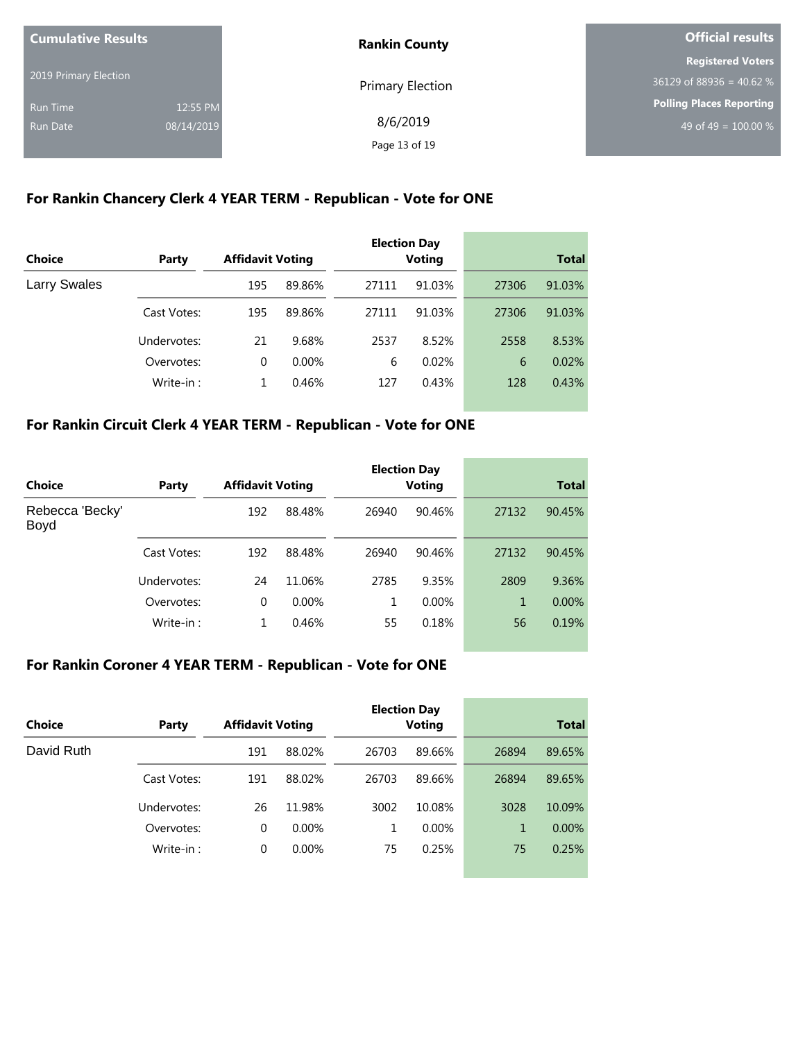| <b>Cumulative Results</b> |            | <b>Rankin County</b>    | Official results                |  |
|---------------------------|------------|-------------------------|---------------------------------|--|
|                           |            |                         | <b>Registered Voters</b>        |  |
| 2019 Primary Election     |            | <b>Primary Election</b> | $36129$ of 88936 = 40.62 %      |  |
| <b>Run Time</b>           | 12:55 PM   |                         | <b>Polling Places Reporting</b> |  |
| <b>Run Date</b>           | 08/14/2019 | 8/6/2019                | 49 of 49 = $100.00\%$           |  |
|                           |            | Page 13 of 19           |                                 |  |

#### **For Rankin Chancery Clerk 4 YEAR TERM - Republican - Vote for ONE**

| <b>Choice</b>       | Party       | <b>Affidavit Voting</b> |          |       | <b>Election Day</b><br><b>Voting</b> |       | <b>Total</b> |
|---------------------|-------------|-------------------------|----------|-------|--------------------------------------|-------|--------------|
|                     |             |                         |          |       |                                      |       |              |
| <b>Larry Swales</b> |             | 195                     | 89.86%   | 27111 | 91.03%                               | 27306 | 91.03%       |
|                     | Cast Votes: | 195                     | 89.86%   | 27111 | 91.03%                               | 27306 | 91.03%       |
|                     | Undervotes: | 21                      | 9.68%    | 2537  | 8.52%                                | 2558  | 8.53%        |
|                     | Overvotes:  | $\Omega$                | $0.00\%$ | 6     | 0.02%                                | 6     | 0.02%        |
|                     | Write-in:   | 1                       | 0.46%    | 127   | 0.43%                                | 128   | 0.43%        |

## **For Rankin Circuit Clerk 4 YEAR TERM - Republican - Vote for ONE**

|                         |             |                         |          |       | <b>Election Day</b> |       |              |
|-------------------------|-------------|-------------------------|----------|-------|---------------------|-------|--------------|
| Choice                  | Party       | <b>Affidavit Voting</b> |          |       | <b>Voting</b>       |       | <b>Total</b> |
| Rebecca 'Becky'<br>Boyd |             | 192                     | 88.48%   | 26940 | 90.46%              | 27132 | 90.45%       |
|                         | Cast Votes: | 192                     | 88.48%   | 26940 | 90.46%              | 27132 | 90.45%       |
|                         | Undervotes: | 24                      | 11.06%   | 2785  | 9.35%               | 2809  | 9.36%        |
|                         | Overvotes:  | 0                       | $0.00\%$ | 1     | $0.00\%$            | 1     | $0.00\%$     |
|                         | Write-in:   |                         | 0.46%    | 55    | 0.18%               | 56    | 0.19%        |

#### **For Rankin Coroner 4 YEAR TERM - Republican - Vote for ONE**

| Choice     | Party       | <b>Affidavit Voting</b> |          |       | <b>Election Day</b><br><b>Voting</b> |       | <b>Total</b> |
|------------|-------------|-------------------------|----------|-------|--------------------------------------|-------|--------------|
| David Ruth |             | 191                     | 88.02%   | 26703 | 89.66%                               | 26894 | 89.65%       |
|            | Cast Votes: | 191                     | 88.02%   | 26703 | 89.66%                               | 26894 | 89.65%       |
|            | Undervotes: | 26                      | 11.98%   | 3002  | 10.08%                               | 3028  | 10.09%       |
|            | Overvotes:  | 0                       | $0.00\%$ | 1     | 0.00%                                | 1     | $0.00\%$     |
|            | Write-in:   | 0                       | $0.00\%$ | 75    | 0.25%                                | 75    | 0.25%        |
|            |             |                         |          |       |                                      |       |              |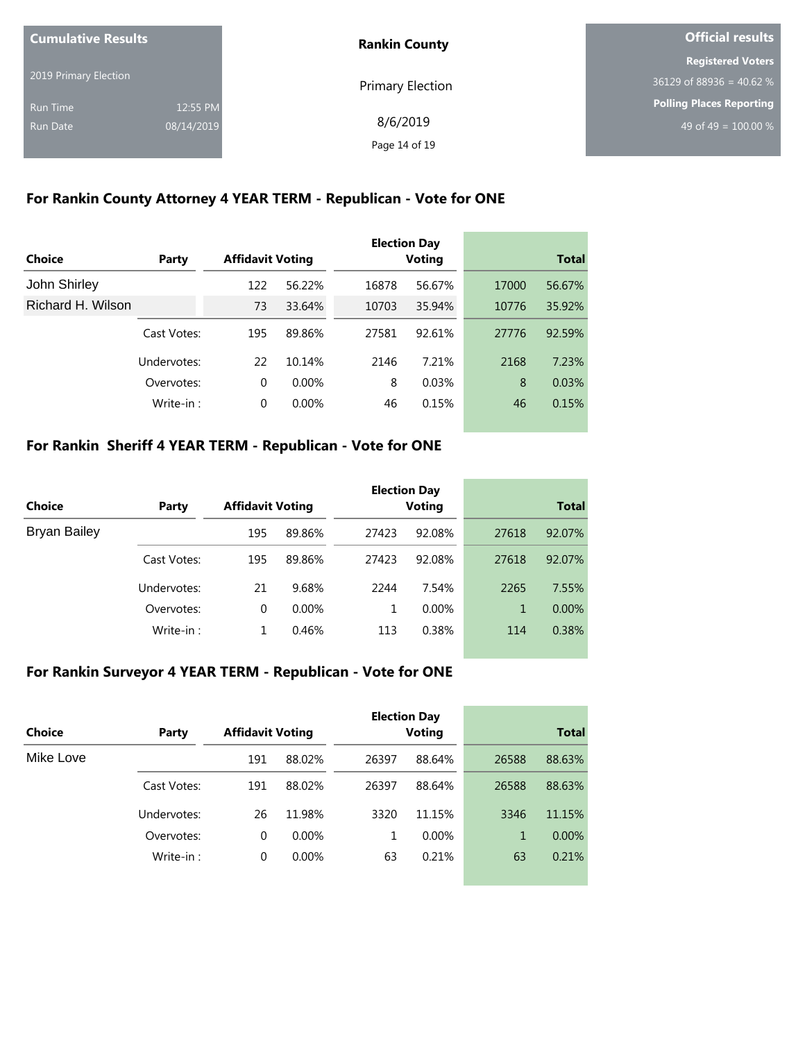| <b>Cumulative Results</b> |            | <b>Rankin County</b> | Official results           |  |
|---------------------------|------------|----------------------|----------------------------|--|
|                           |            |                      | <b>Registered Voters</b>   |  |
| 2019 Primary Election     |            | Primary Election     | $36129$ of 88936 = 40.62 % |  |
| Run Time                  | 12:55 PM   |                      | Polling Places Reporting   |  |
| Run Date                  | 08/14/2019 | 8/6/2019             | 49 of 49 = $100.00\%$      |  |
|                           |            | Page 14 of 19        |                            |  |

# **For Rankin County Attorney 4 YEAR TERM - Republican - Vote for ONE**

|                   |             |                         |          |       | <b>Election Day</b> |       |              |
|-------------------|-------------|-------------------------|----------|-------|---------------------|-------|--------------|
| Choice            | Party       | <b>Affidavit Voting</b> |          |       | <b>Voting</b>       |       | <b>Total</b> |
| John Shirley      |             | 122                     | 56.22%   | 16878 | 56.67%              | 17000 | 56.67%       |
| Richard H. Wilson |             | 73                      | 33.64%   | 10703 | 35.94%              | 10776 | 35.92%       |
|                   | Cast Votes: | 195                     | 89.86%   | 27581 | 92.61%              | 27776 | 92.59%       |
|                   | Undervotes: | 22                      | 10.14%   | 2146  | 7.21%               | 2168  | 7.23%        |
|                   | Overvotes:  | $\Omega$                | $0.00\%$ | 8     | 0.03%               | 8     | 0.03%        |
|                   | Write-in:   | $\Omega$                | 0.00%    | 46    | 0.15%               | 46    | 0.15%        |

## **For Rankin Sheriff 4 YEAR TERM - Republican - Vote for ONE**

|                     |             |                         |          |       | <b>Election Day</b> |       |              |  |
|---------------------|-------------|-------------------------|----------|-------|---------------------|-------|--------------|--|
| Choice              | Party       | <b>Affidavit Voting</b> |          |       | Voting              |       | <b>Total</b> |  |
| <b>Bryan Bailey</b> |             | 195                     | 89.86%   | 27423 | 92.08%              | 27618 | 92.07%       |  |
|                     | Cast Votes: | 195                     | 89.86%   | 27423 | 92.08%              | 27618 | 92.07%       |  |
|                     | Undervotes: | 21                      | 9.68%    | 2244  | 7.54%               | 2265  | 7.55%        |  |
|                     | Overvotes:  | 0                       | $0.00\%$ | 1     | 0.00%               | 1     | $0.00\%$     |  |
|                     | Write-in:   |                         | 0.46%    | 113   | 0.38%               | 114   | 0.38%        |  |

### **For Rankin Surveyor 4 YEAR TERM - Republican - Vote for ONE**

| Choice    | Party       | <b>Affidavit Voting</b> |          |       | <b>Election Day</b><br>Voting |       | <b>Total</b> |
|-----------|-------------|-------------------------|----------|-------|-------------------------------|-------|--------------|
| Mike Love |             | 191                     | 88.02%   | 26397 | 88.64%                        | 26588 | 88.63%       |
|           | Cast Votes: | 191                     | 88.02%   | 26397 | 88.64%                        | 26588 | 88.63%       |
|           | Undervotes: | 26                      | 11.98%   | 3320  | 11.15%                        | 3346  | 11.15%       |
|           | Overvotes:  | 0                       | $0.00\%$ | 1     | $0.00\%$                      | 1     | $0.00\%$     |
|           | Write-in:   | 0                       | $0.00\%$ | 63    | 0.21%                         | 63    | 0.21%        |
|           |             |                         |          |       |                               |       |              |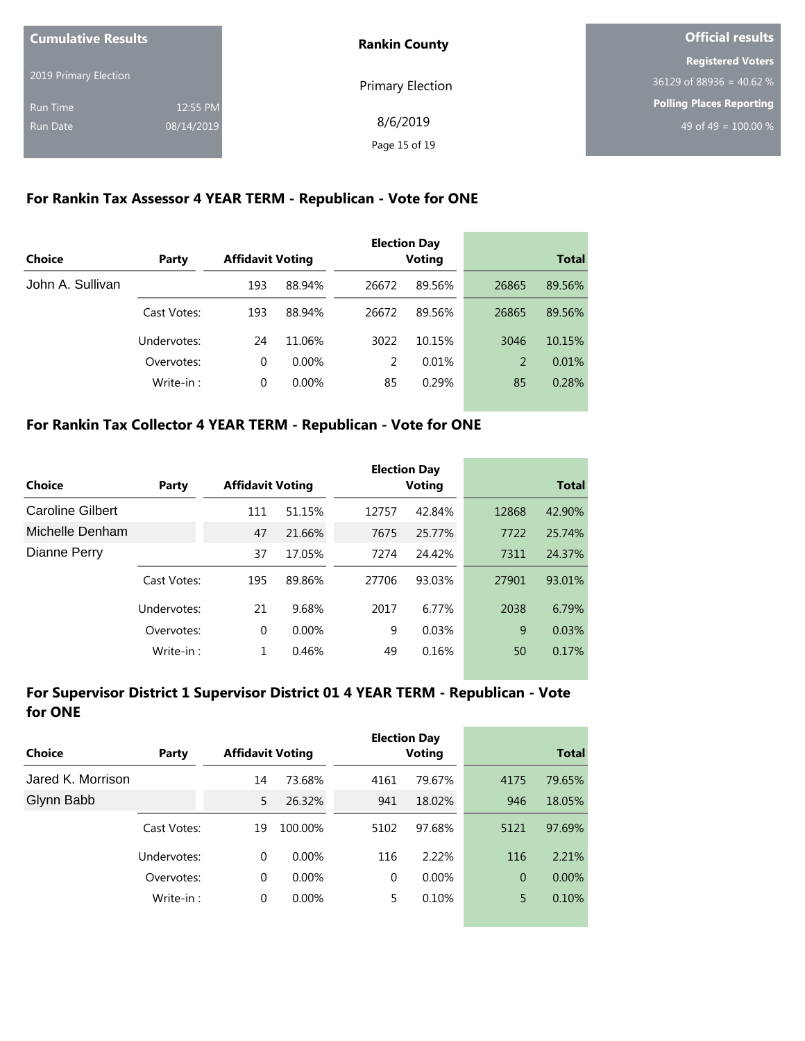| <b>Cumulative Results</b> |            | <b>Rankin County</b>    | Official results                |  |
|---------------------------|------------|-------------------------|---------------------------------|--|
|                           |            |                         | <b>Registered Voters</b>        |  |
| 2019 Primary Election     |            | <b>Primary Election</b> | $36129$ of 88936 = 40.62 %      |  |
| <b>Run Time</b>           | 12:55 PM   |                         | <b>Polling Places Reporting</b> |  |
| <b>Run Date</b>           | 08/14/2019 | 8/6/2019                | 49 of 49 = $100.00\%$           |  |
|                           |            | Page 15 of 19           |                                 |  |

### **For Rankin Tax Assessor 4 YEAR TERM - Republican - Vote for ONE**

| Choice           | Party       | <b>Affidavit Voting</b> |          |               | <b>Election Day</b><br><b>Voting</b> |       | <b>Total</b> |
|------------------|-------------|-------------------------|----------|---------------|--------------------------------------|-------|--------------|
| John A. Sullivan |             | 193                     | 88.94%   | 26672         | 89.56%                               | 26865 | 89.56%       |
|                  | Cast Votes: | 193                     | 88.94%   | 26672         | 89.56%                               | 26865 | 89.56%       |
|                  | Undervotes: | 24                      | 11.06%   | 3022          | 10.15%                               | 3046  | 10.15%       |
|                  | Overvotes:  | $\Omega$                | $0.00\%$ | $\mathcal{P}$ | 0.01%                                | 2     | 0.01%        |
|                  | Write-in:   | $\Omega$                | 0.00%    | 85            | 0.29%                                | 85    | 0.28%        |

## **For Rankin Tax Collector 4 YEAR TERM - Republican - Vote for ONE**

| Choice           | Party       | <b>Affidavit Voting</b> |          |       | <b>Election Day</b><br><b>Voting</b> |       | <b>Total</b> |
|------------------|-------------|-------------------------|----------|-------|--------------------------------------|-------|--------------|
| Caroline Gilbert |             | 111                     | 51.15%   | 12757 | 42.84%                               | 12868 | 42.90%       |
| Michelle Denham  |             | 47                      | 21.66%   | 7675  | 25.77%                               | 7722  | 25.74%       |
| Dianne Perry     |             | 37                      | 17.05%   | 7274  | 24.42%                               | 7311  | 24.37%       |
|                  | Cast Votes: | 195                     | 89.86%   | 27706 | 93.03%                               | 27901 | 93.01%       |
|                  | Undervotes: | 21                      | 9.68%    | 2017  | 6.77%                                | 2038  | 6.79%        |
|                  | Overvotes:  | 0                       | $0.00\%$ | 9     | 0.03%                                | 9     | 0.03%        |
|                  | Write-in:   | 1                       | 0.46%    | 49    | 0.16%                                | 50    | 0.17%        |

## **For Supervisor District 1 Supervisor District 01 4 YEAR TERM - Republican - Vote for ONE**

|                   |             |                         |          |          | <b>Election Day</b> |                |              |
|-------------------|-------------|-------------------------|----------|----------|---------------------|----------------|--------------|
| <b>Choice</b>     | Party       | <b>Affidavit Voting</b> |          |          | <b>Voting</b>       |                | <b>Total</b> |
| Jared K. Morrison |             | 14                      | 73.68%   | 4161     | 79.67%              | 4175           | 79.65%       |
| Glynn Babb        |             | 5                       | 26.32%   | 941      | 18.02%              | 946            | 18.05%       |
|                   | Cast Votes: | 19                      | 100.00%  | 5102     | 97.68%              | 5121           | 97.69%       |
|                   | Undervotes: | 0                       | $0.00\%$ | 116      | 2.22%               | 116            | 2.21%        |
|                   | Overvotes:  | $\Omega$                | $0.00\%$ | $\Omega$ | 0.00%               | $\overline{0}$ | 0.00%        |
|                   | Write-in:   | 0                       | 0.00%    | 5.       | 0.10%               | 5              | 0.10%        |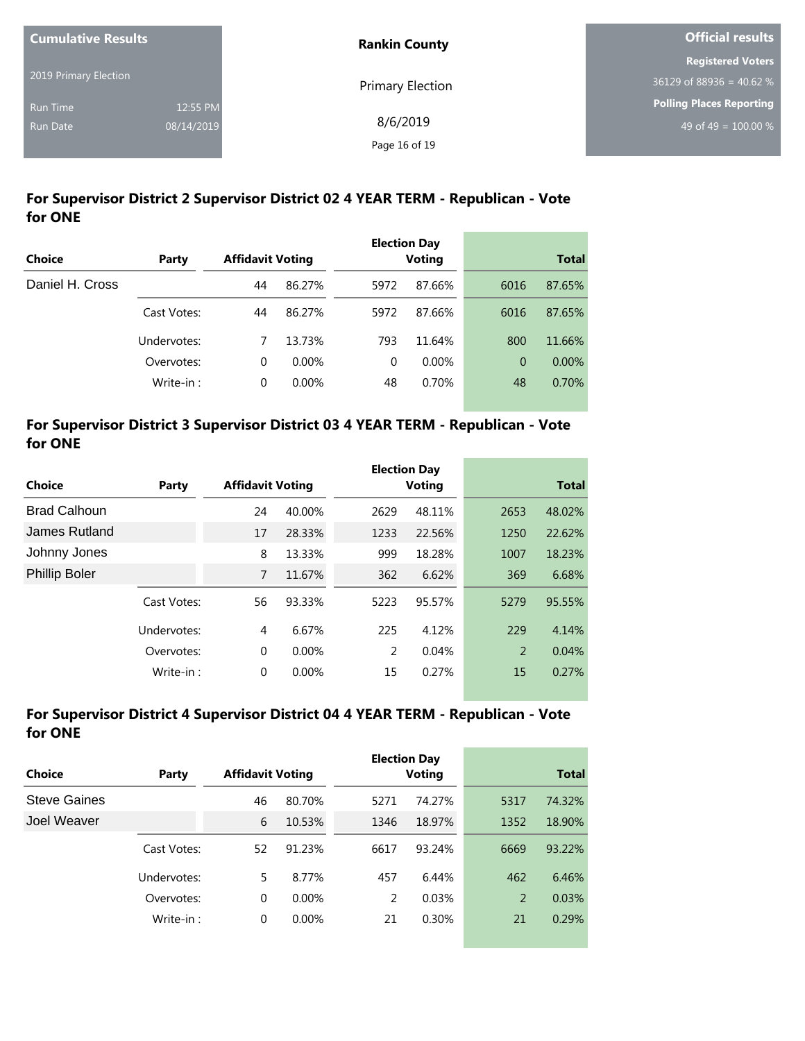| <b>Cumulative Results</b> |            | <b>Rankin County</b>    | <b>Official results</b>         |
|---------------------------|------------|-------------------------|---------------------------------|
|                           |            |                         | <b>Registered Voters</b>        |
| 2019 Primary Election     |            | <b>Primary Election</b> | $36129$ of 88936 = 40.62 %      |
| <b>Run Time</b>           | 12:55 PM   |                         | <b>Polling Places Reporting</b> |
| Run Date                  | 08/14/2019 | 8/6/2019                | 49 of 49 = $100.00\%$           |
|                           |            | Page 16 of 19           |                                 |

# **For Supervisor District 2 Supervisor District 02 4 YEAR TERM - Republican - Vote for ONE**

|                 |             |                         |          |          | <b>Election Day</b> |      |              |
|-----------------|-------------|-------------------------|----------|----------|---------------------|------|--------------|
| <b>Choice</b>   | Party       | <b>Affidavit Voting</b> |          |          | <b>Voting</b>       |      | <b>Total</b> |
| Daniel H. Cross |             | 44                      | 86.27%   | 5972     | 87.66%              | 6016 | 87.65%       |
|                 | Cast Votes: | 44                      | 86.27%   | 5972     | 87.66%              | 6016 | 87.65%       |
|                 | Undervotes: | 7                       | 13.73%   | 793      | 11.64%              | 800  | 11.66%       |
|                 | Overvotes:  | $\Omega$                | $0.00\%$ | $\Omega$ | 0.00%               | 0    | $0.00\%$     |
|                 | Write-in:   | 0                       | 0.00%    | 48       | 0.70%               | 48   | 0.70%        |
|                 |             |                         |          |          |                     |      |              |

#### **For Supervisor District 3 Supervisor District 03 4 YEAR TERM - Republican - Vote for ONE**

|                      |             |                         |          |      | <b>Election Day</b> |      |              |
|----------------------|-------------|-------------------------|----------|------|---------------------|------|--------------|
| Choice               | Party       | <b>Affidavit Voting</b> |          |      | <b>Voting</b>       |      | <b>Total</b> |
| <b>Brad Calhoun</b>  |             | 24                      | 40.00%   | 2629 | 48.11%              | 2653 | 48.02%       |
| James Rutland        |             | 17                      | 28.33%   | 1233 | 22.56%              | 1250 | 22.62%       |
| Johnny Jones         |             | 8                       | 13.33%   | 999  | 18.28%              | 1007 | 18.23%       |
| <b>Phillip Boler</b> |             | 7                       | 11.67%   | 362  | 6.62%               | 369  | 6.68%        |
| Cast Votes:          |             | 56                      | 93.33%   | 5223 | 95.57%              | 5279 | 95.55%       |
|                      | Undervotes: | 4                       | 6.67%    | 225  | 4.12%               | 229  | 4.14%        |
|                      | Overvotes:  | 0                       | $0.00\%$ | 2    | 0.04%               | 2    | 0.04%        |
|                      | Write-in:   | 0                       | 0.00%    | 15   | 0.27%               | 15   | 0.27%        |

### **For Supervisor District 4 Supervisor District 04 4 YEAR TERM - Republican - Vote for ONE**

| Choice              | Party       | <b>Affidavit Voting</b> |          |      | <b>Election Day</b><br><b>Voting</b> | <b>Total</b> |        |  |
|---------------------|-------------|-------------------------|----------|------|--------------------------------------|--------------|--------|--|
| <b>Steve Gaines</b> |             | 46                      | 80.70%   | 5271 | 74.27%                               | 5317         | 74.32% |  |
| Joel Weaver         |             | 6                       | 10.53%   | 1346 | 18.97%                               | 1352         | 18.90% |  |
|                     | Cast Votes: | 52                      | 91.23%   | 6617 | 93.24%                               | 6669         | 93.22% |  |
|                     | Undervotes: | 5                       | 8.77%    | 457  | 6.44%                                | 462          | 6.46%  |  |
|                     | Overvotes:  | 0                       | $0.00\%$ | 2    | 0.03%                                | 2            | 0.03%  |  |
|                     | Write-in:   | 0                       | $0.00\%$ | 21   | 0.30%                                | 21           | 0.29%  |  |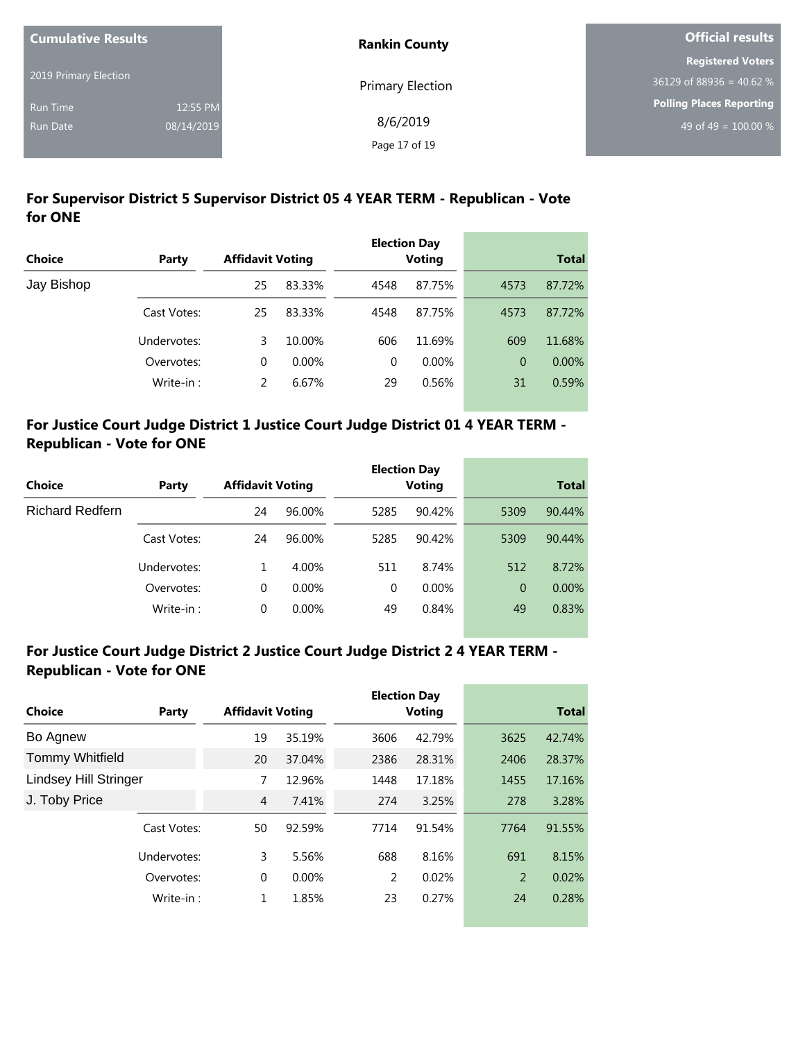| <b>Cumulative Results</b> |            | <b>Rankin County</b> | <b>Official results</b>         |  |
|---------------------------|------------|----------------------|---------------------------------|--|
|                           |            |                      | <b>Registered Voters</b>        |  |
| 2019 Primary Election     |            | Primary Election     | $36129$ of 88936 = 40.62 %      |  |
| <b>Run Time</b>           | 12:55 PM   |                      | <b>Polling Places Reporting</b> |  |
| <b>Run Date</b>           | 08/14/2019 | 8/6/2019             | 49 of 49 = $100.00\%$           |  |
|                           |            | Page 17 of 19        |                                 |  |

# **For Supervisor District 5 Supervisor District 05 4 YEAR TERM - Republican - Vote for ONE**

|               |             |                         |          |          | <b>Election Day</b> |          |              |
|---------------|-------------|-------------------------|----------|----------|---------------------|----------|--------------|
| <b>Choice</b> | Party       | <b>Affidavit Voting</b> |          |          | <b>Voting</b>       |          | <b>Total</b> |
| Jay Bishop    |             | 25                      | 83.33%   | 4548     | 87.75%              | 4573     | 87.72%       |
|               | Cast Votes: | 25                      | 83.33%   | 4548     | 87.75%              | 4573     | 87.72%       |
|               | Undervotes: | 3                       | 10.00%   | 606      | 11.69%              | 609      | 11.68%       |
|               | Overvotes:  | 0                       | $0.00\%$ | $\Omega$ | 0.00%               | $\Omega$ | $0.00\%$     |
|               | Write-in:   | 2                       | 6.67%    | 29       | 0.56%               | 31       | 0.59%        |
|               |             |                         |          |          |                     |          |              |

# **For Justice Court Judge District 1 Justice Court Judge District 01 4 YEAR TERM - Republican - Vote for ONE**

|                        |             |                         |          |          | <b>Election Day</b> |                |              |
|------------------------|-------------|-------------------------|----------|----------|---------------------|----------------|--------------|
| <b>Choice</b>          | Party       | <b>Affidavit Voting</b> |          |          | <b>Voting</b>       |                | <b>Total</b> |
| <b>Richard Redfern</b> |             | 24                      | 96.00%   | 5285     | 90.42%              | 5309           | 90.44%       |
|                        | Cast Votes: | 24                      | 96.00%   | 5285     | 90.42%              | 5309           | 90.44%       |
|                        | Undervotes: |                         | 4.00%    | 511      | 8.74%               | 512            | 8.72%        |
|                        | Overvotes:  | 0                       | $0.00\%$ | $\Omega$ | $0.00\%$            | $\overline{0}$ | $0.00\%$     |
|                        | Write-in:   | 0                       | 0.00%    | 49       | 0.84%               | 49             | 0.83%        |
|                        |             |                         |          |          |                     |                |              |

#### **For Justice Court Judge District 2 Justice Court Judge District 2 4 YEAR TERM - Republican - Vote for ONE**

|                              |             |                         |        |      | <b>Election Day</b> |      |              |
|------------------------------|-------------|-------------------------|--------|------|---------------------|------|--------------|
| Choice                       | Party       | <b>Affidavit Voting</b> |        |      | <b>Voting</b>       |      | <b>Total</b> |
| Bo Agnew                     |             | 19                      | 35.19% | 3606 | 42.79%              | 3625 | 42.74%       |
| <b>Tommy Whitfield</b>       |             | 20                      | 37.04% | 2386 | 28.31%              | 2406 | 28.37%       |
| <b>Lindsey Hill Stringer</b> |             | 7                       | 12.96% | 1448 | 17.18%              | 1455 | 17.16%       |
| J. Toby Price                |             | 4                       | 7.41%  | 274  | 3.25%               | 278  | 3.28%        |
|                              | Cast Votes: | 50                      | 92.59% | 7714 | 91.54%              | 7764 | 91.55%       |
|                              | Undervotes: | 3                       | 5.56%  | 688  | 8.16%               | 691  | 8.15%        |
|                              | Overvotes:  | $\mathbf 0$             | 0.00%  | 2    | 0.02%               | 2    | 0.02%        |
|                              | Write-in:   | 1                       | 1.85%  | 23   | 0.27%               | 24   | 0.28%        |
|                              |             |                         |        |      |                     |      |              |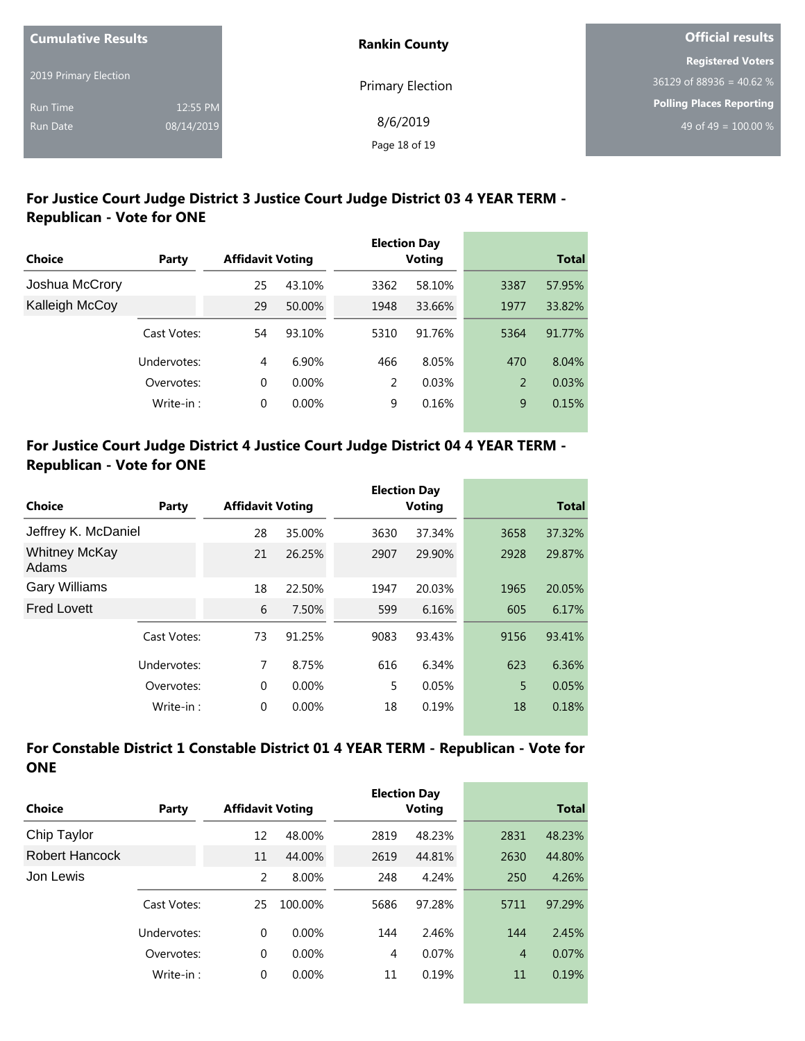| <b>Cumulative Results</b> |            | <b>Rankin County</b> | Official results                 |  |
|---------------------------|------------|----------------------|----------------------------------|--|
|                           |            |                      | <b>Registered Voters</b>         |  |
| 2019 Primary Election     |            | Primary Election     | $36129$ of 88936 = 40.62 %       |  |
| <b>Run Time</b>           | 12:55 PM   |                      | <b>Polling Places Reporting</b>  |  |
| <b>Run Date</b>           | 08/14/2019 | 8/6/2019             | 49 of 49 = $\overline{100.00\%}$ |  |
|                           |            | Page 18 of 19        |                                  |  |

### **For Justice Court Judge District 3 Justice Court Judge District 03 4 YEAR TERM - Republican - Vote for ONE**

|                |             |                         |          |      | <b>Election Day</b> |      |              |
|----------------|-------------|-------------------------|----------|------|---------------------|------|--------------|
| Choice         | Party       | <b>Affidavit Voting</b> |          |      | <b>Voting</b>       |      | <b>Total</b> |
| Joshua McCrory |             | 25                      | 43.10%   | 3362 | 58.10%              | 3387 | 57.95%       |
| Kalleigh McCoy |             | 29                      | 50.00%   | 1948 | 33.66%              | 1977 | 33.82%       |
|                | Cast Votes: | 54                      | 93.10%   | 5310 | 91.76%              | 5364 | 91.77%       |
|                | Undervotes: | 4                       | 6.90%    | 466  | 8.05%               | 470  | 8.04%        |
|                | Overvotes:  | 0                       | $0.00\%$ | 2    | 0.03%               | 2    | 0.03%        |
|                | Write-in:   | 0                       | 0.00%    | 9    | 0.16%               | 9    | 0.15%        |

# **For Justice Court Judge District 4 Justice Court Judge District 04 4 YEAR TERM - Republican - Vote for ONE**

|                               |             |                         |          |      | <b>Election Day</b> |      |              |
|-------------------------------|-------------|-------------------------|----------|------|---------------------|------|--------------|
| Choice                        | Party       | <b>Affidavit Voting</b> |          |      | <b>Voting</b>       |      | <b>Total</b> |
| Jeffrey K. McDaniel           |             | 28                      | 35.00%   | 3630 | 37.34%              | 3658 | 37.32%       |
| <b>Whitney McKay</b><br>Adams |             | 21                      | 26.25%   | 2907 | 29.90%              | 2928 | 29.87%       |
| <b>Gary Williams</b>          |             | 18                      | 22.50%   | 1947 | 20.03%              | 1965 | 20.05%       |
| <b>Fred Lovett</b>            |             | 6                       | 7.50%    | 599  | 6.16%               | 605  | 6.17%        |
|                               | Cast Votes: | 73                      | 91.25%   | 9083 | 93.43%              | 9156 | 93.41%       |
|                               | Undervotes: | 7                       | 8.75%    | 616  | 6.34%               | 623  | 6.36%        |
|                               | Overvotes:  | $\Omega$                | $0.00\%$ | 5    | 0.05%               | 5    | 0.05%        |
|                               | Write-in:   | $\Omega$                | 0.00%    | 18   | 0.19%               | 18   | 0.18%        |

# **For Constable District 1 Constable District 01 4 YEAR TERM - Republican - Vote for ONE**

| Choice         | <b>Affidavit Voting</b><br>Party |          |          |      | <b>Election Day</b><br>Voting | <b>Total</b>   |        |
|----------------|----------------------------------|----------|----------|------|-------------------------------|----------------|--------|
| Chip Taylor    |                                  | 12       | 48.00%   | 2819 | 48.23%                        | 2831           | 48.23% |
| Robert Hancock |                                  | 11       | 44.00%   | 2619 | 44.81%                        | 2630           | 44.80% |
| Jon Lewis      |                                  | 2        | 8.00%    | 248  | 4.24%                         | 250            | 4.26%  |
|                | Cast Votes:                      | 25       | 100.00%  | 5686 | 97.28%                        | 5711           | 97.29% |
|                | Undervotes:                      | $\Omega$ | $0.00\%$ | 144  | 2.46%                         | 144            | 2.45%  |
|                | Overvotes:                       | $\Omega$ | $0.00\%$ | 4    | 0.07%                         | $\overline{4}$ | 0.07%  |
|                | Write-in:                        | $\Omega$ | 0.00%    | 11   | 0.19%                         | 11             | 0.19%  |